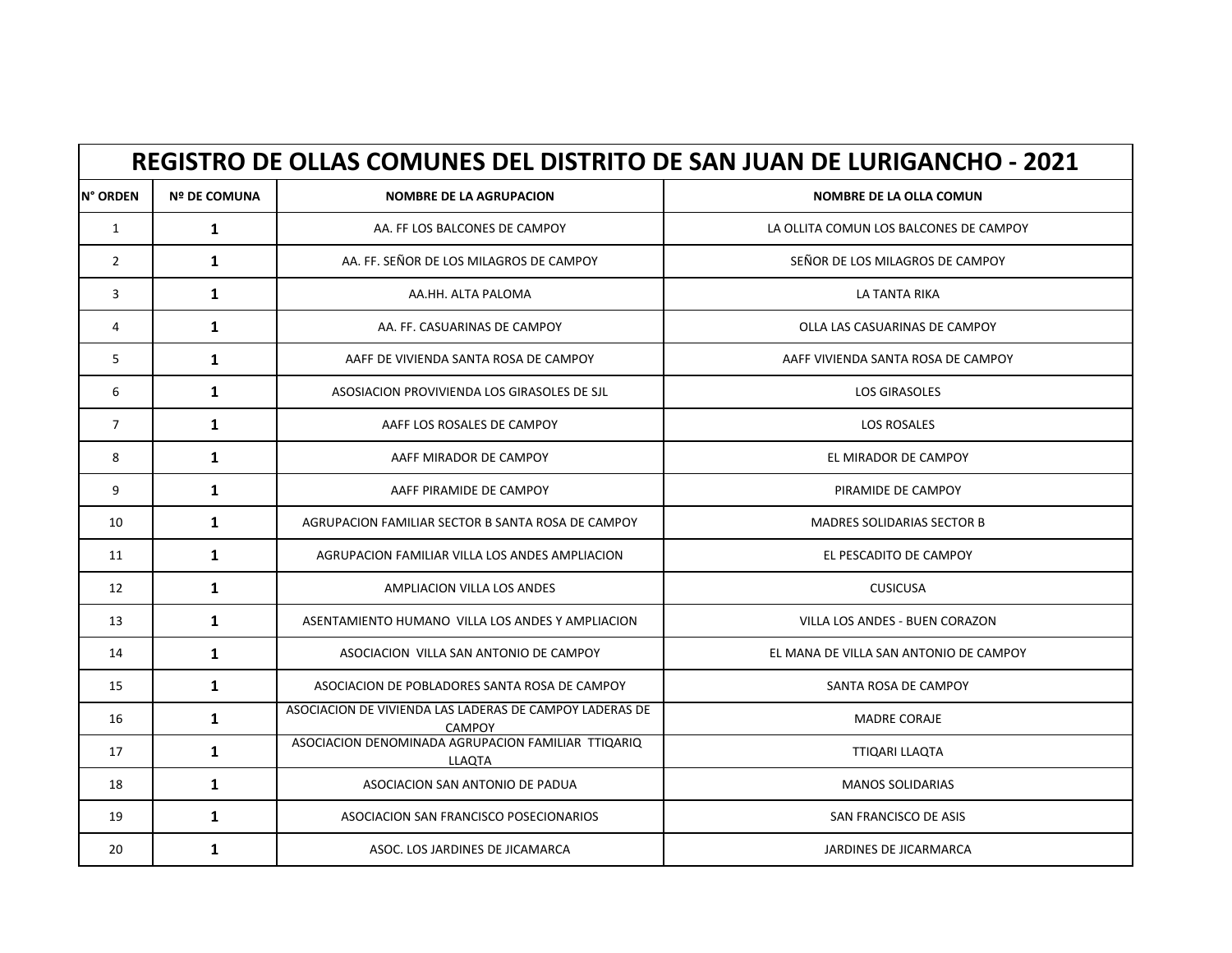|                | <b>REGISTRO DE OLLAS COMUNES DEL DISTRITO DE SAN JUAN DE LURIGANCHO - 2021</b> |                                                                          |                                        |  |
|----------------|--------------------------------------------------------------------------------|--------------------------------------------------------------------------|----------------------------------------|--|
| N° ORDEN       | <b>Nº DE COMUNA</b>                                                            | <b>NOMBRE DE LA AGRUPACION</b>                                           | NOMBRE DE LA OLLA COMUN                |  |
| $\mathbf{1}$   | $\mathbf{1}$                                                                   | AA. FF LOS BALCONES DE CAMPOY                                            | LA OLLITA COMUN LOS BALCONES DE CAMPOY |  |
| $\overline{2}$ | $\mathbf{1}$                                                                   | AA. FF. SEÑOR DE LOS MILAGROS DE CAMPOY                                  | SEÑOR DE LOS MILAGROS DE CAMPOY        |  |
| 3              | $\mathbf{1}$                                                                   | AA.HH. ALTA PALOMA                                                       | LA TANTA RIKA                          |  |
| 4              | $\mathbf{1}$                                                                   | AA. FF. CASUARINAS DE CAMPOY                                             | OLLA LAS CASUARINAS DE CAMPOY          |  |
| 5              | $\mathbf{1}$                                                                   | AAFF DE VIVIENDA SANTA ROSA DE CAMPOY                                    | AAFF VIVIENDA SANTA ROSA DE CAMPOY     |  |
| 6              | $\mathbf{1}$                                                                   | ASOSIACION PROVIVIENDA LOS GIRASOLES DE SJL                              | <b>LOS GIRASOLES</b>                   |  |
| $\overline{7}$ | $\mathbf{1}$                                                                   | AAFF LOS ROSALES DE CAMPOY                                               | <b>LOS ROSALES</b>                     |  |
| 8              | $\mathbf{1}$                                                                   | AAFF MIRADOR DE CAMPOY                                                   | EL MIRADOR DE CAMPOY                   |  |
| 9              | $\mathbf{1}$                                                                   | AAFF PIRAMIDE DE CAMPOY                                                  | PIRAMIDE DE CAMPOY                     |  |
| 10             | $\mathbf{1}$                                                                   | AGRUPACION FAMILIAR SECTOR B SANTA ROSA DE CAMPOY                        | <b>MADRES SOLIDARIAS SECTOR B</b>      |  |
| 11             | $\mathbf{1}$                                                                   | AGRUPACION FAMILIAR VILLA LOS ANDES AMPLIACION                           | EL PESCADITO DE CAMPOY                 |  |
| 12             | $\mathbf{1}$                                                                   | AMPLIACION VILLA LOS ANDES                                               | <b>CUSICUSA</b>                        |  |
| 13             | $\mathbf{1}$                                                                   | ASENTAMIENTO HUMANO VILLA LOS ANDES Y AMPLIACION                         | VILLA LOS ANDES - BUEN CORAZON         |  |
| 14             | $\mathbf{1}$                                                                   | ASOCIACION VILLA SAN ANTONIO DE CAMPOY                                   | EL MANA DE VILLA SAN ANTONIO DE CAMPOY |  |
| 15             | $\mathbf{1}$                                                                   | ASOCIACION DE POBLADORES SANTA ROSA DE CAMPOY                            | SANTA ROSA DE CAMPOY                   |  |
| 16             | $\mathbf{1}$                                                                   | ASOCIACION DE VIVIENDA LAS LADERAS DE CAMPOY LADERAS DE<br><b>CAMPOY</b> | <b>MADRE CORAJE</b>                    |  |
| 17             | 1                                                                              | ASOCIACION DENOMINADA AGRUPACION FAMILIAR TTIQARIQ<br><b>LLAQTA</b>      | TTIQARI LLAQTA                         |  |
| 18             | $\mathbf{1}$                                                                   | ASOCIACION SAN ANTONIO DE PADUA                                          | <b>MANOS SOLIDARIAS</b>                |  |
| 19             | $\mathbf{1}$                                                                   | ASOCIACION SAN FRANCISCO POSECIONARIOS                                   | SAN FRANCISCO DE ASIS                  |  |
| 20             | $\mathbf{1}$                                                                   | ASOC. LOS JARDINES DE JICAMARCA                                          | <b>JARDINES DE JICARMARCA</b>          |  |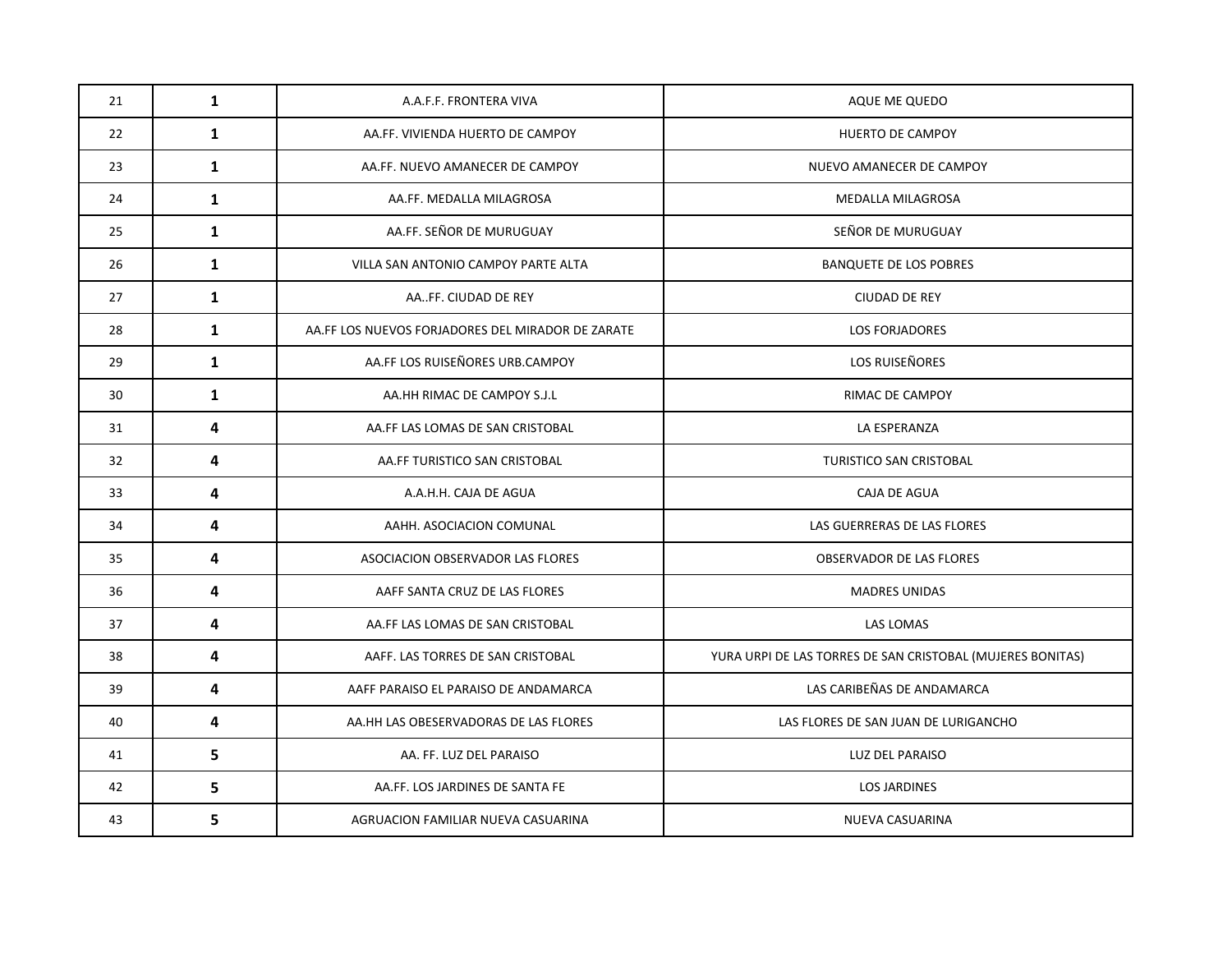| 21 | $\mathbf{1}$ | A.A.F.F. FRONTERA VIVA                            | AQUE ME QUEDO                                              |
|----|--------------|---------------------------------------------------|------------------------------------------------------------|
| 22 | $\mathbf{1}$ | AA.FF. VIVIENDA HUERTO DE CAMPOY                  | HUERTO DE CAMPOY                                           |
| 23 | $\mathbf{1}$ | AA.FF. NUEVO AMANECER DE CAMPOY                   | NUEVO AMANECER DE CAMPOY                                   |
| 24 | $\mathbf{1}$ | AA.FF. MEDALLA MILAGROSA                          | MEDALLA MILAGROSA                                          |
| 25 | $\mathbf{1}$ | AA.FF. SEÑOR DE MURUGUAY                          | SEÑOR DE MURUGUAY                                          |
| 26 | $\mathbf{1}$ | VILLA SAN ANTONIO CAMPOY PARTE ALTA               | <b>BANQUETE DE LOS POBRES</b>                              |
| 27 | $\mathbf{1}$ | AAFF. CIUDAD DE REY                               | <b>CIUDAD DE REY</b>                                       |
| 28 | $\mathbf{1}$ | AA.FF LOS NUEVOS FORJADORES DEL MIRADOR DE ZARATE | <b>LOS FORJADORES</b>                                      |
| 29 | $\mathbf{1}$ | AA.FF LOS RUISEÑORES URB.CAMPOY                   | LOS RUISEÑORES                                             |
| 30 | $\mathbf{1}$ | AA.HH RIMAC DE CAMPOY S.J.L                       | RIMAC DE CAMPOY                                            |
| 31 | 4            | AA.FF LAS LOMAS DE SAN CRISTOBAL                  | LA ESPERANZA                                               |
| 32 | 4            | AA.FF TURISTICO SAN CRISTOBAL                     | TURISTICO SAN CRISTOBAL                                    |
| 33 | 4            | A.A.H.H. CAJA DE AGUA                             | CAJA DE AGUA                                               |
| 34 | 4            | AAHH. ASOCIACION COMUNAL                          | LAS GUERRERAS DE LAS FLORES                                |
| 35 | 4            | ASOCIACION OBSERVADOR LAS FLORES                  | OBSERVADOR DE LAS FLORES                                   |
| 36 | 4            | AAFF SANTA CRUZ DE LAS FLORES                     | <b>MADRES UNIDAS</b>                                       |
| 37 | 4            | AA.FF LAS LOMAS DE SAN CRISTOBAL                  | LAS LOMAS                                                  |
| 38 | 4            | AAFF. LAS TORRES DE SAN CRISTOBAL                 | YURA URPI DE LAS TORRES DE SAN CRISTOBAL (MUJERES BONITAS) |
| 39 | 4            | AAFF PARAISO EL PARAISO DE ANDAMARCA              | LAS CARIBEÑAS DE ANDAMARCA                                 |
| 40 | 4            | AA.HH LAS OBESERVADORAS DE LAS FLORES             | LAS FLORES DE SAN JUAN DE LURIGANCHO                       |
| 41 | 5            | AA. FF. LUZ DEL PARAISO                           | LUZ DEL PARAISO                                            |
| 42 | 5            | AA.FF. LOS JARDINES DE SANTA FE                   | <b>LOS JARDINES</b>                                        |
| 43 | 5            | AGRUACION FAMILIAR NUEVA CASUARINA                | NUEVA CASUARINA                                            |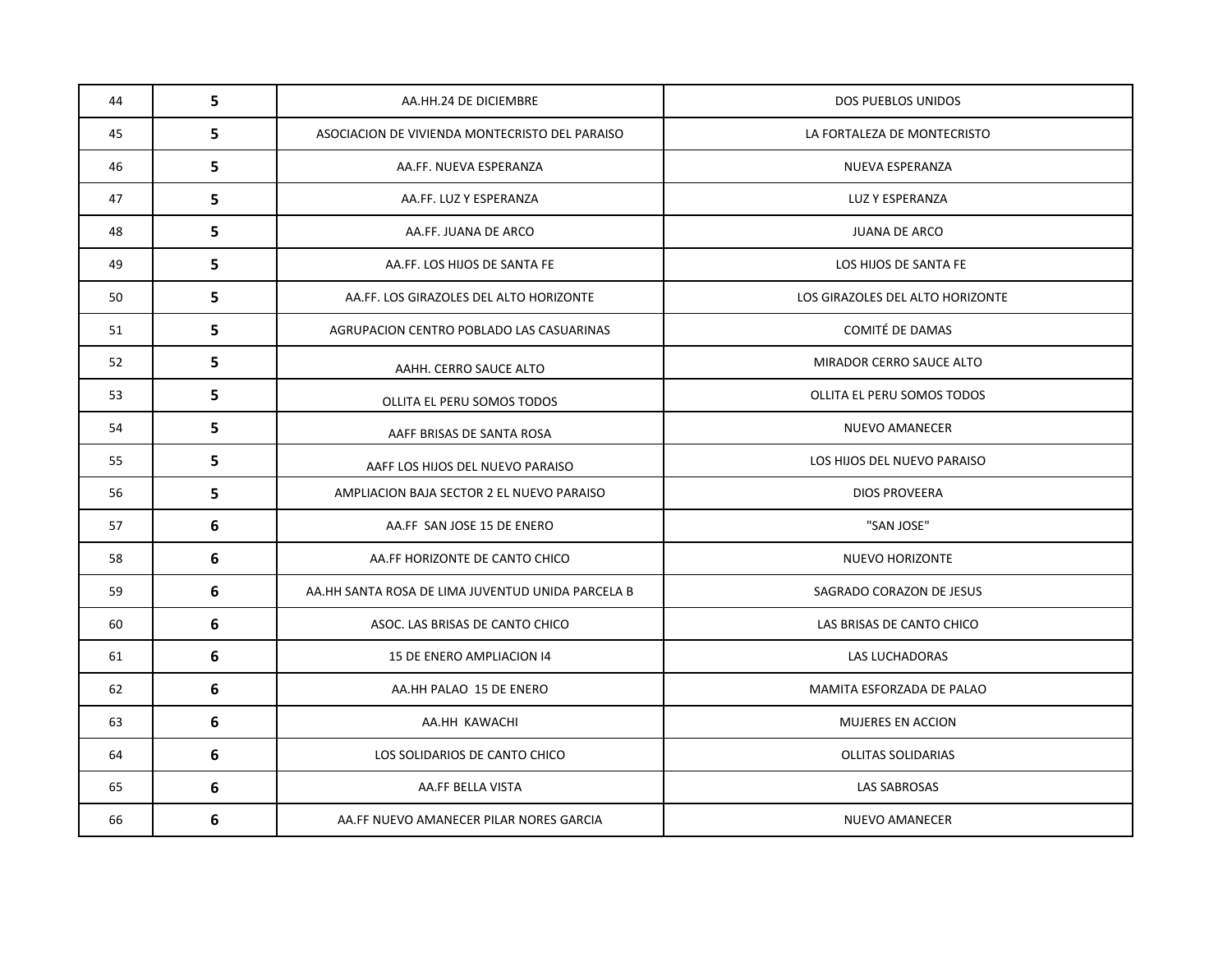| 44 | 5 | AA.HH.24 DE DICIEMBRE                             | DOS PUEBLOS UNIDOS               |
|----|---|---------------------------------------------------|----------------------------------|
| 45 | 5 | ASOCIACION DE VIVIENDA MONTECRISTO DEL PARAISO    | LA FORTALEZA DE MONTECRISTO      |
| 46 | 5 | AA.FF. NUEVA ESPERANZA                            | NUEVA ESPERANZA                  |
| 47 | 5 | AA.FF. LUZ Y ESPERANZA                            | LUZ Y ESPERANZA                  |
| 48 | 5 | AA.FF. JUANA DE ARCO                              | <b>JUANA DE ARCO</b>             |
| 49 | 5 | AA.FF. LOS HIJOS DE SANTA FE                      | LOS HIJOS DE SANTA FE            |
| 50 | 5 | AA.FF. LOS GIRAZOLES DEL ALTO HORIZONTE           | LOS GIRAZOLES DEL ALTO HORIZONTE |
| 51 | 5 | AGRUPACION CENTRO POBLADO LAS CASUARINAS          | COMITÉ DE DAMAS                  |
| 52 | 5 | AAHH. CERRO SAUCE ALTO                            | MIRADOR CERRO SAUCE ALTO         |
| 53 | 5 | OLLITA EL PERU SOMOS TODOS                        | OLLITA EL PERU SOMOS TODOS       |
| 54 | 5 | AAFF BRISAS DE SANTA ROSA                         | NUEVO AMANECER                   |
| 55 | 5 | AAFF LOS HIJOS DEL NUEVO PARAISO                  | LOS HIJOS DEL NUEVO PARAISO      |
| 56 | 5 | AMPLIACION BAJA SECTOR 2 EL NUEVO PARAISO         | <b>DIOS PROVEERA</b>             |
| 57 | 6 | AA.FF SAN JOSE 15 DE ENERO                        | "SAN JOSE"                       |
| 58 | 6 | AA.FF HORIZONTE DE CANTO CHICO                    | NUEVO HORIZONTE                  |
| 59 | 6 | AA.HH SANTA ROSA DE LIMA JUVENTUD UNIDA PARCELA B | SAGRADO CORAZON DE JESUS         |
| 60 | 6 | ASOC. LAS BRISAS DE CANTO CHICO                   | LAS BRISAS DE CANTO CHICO        |
| 61 | 6 | 15 DE ENERO AMPLIACION 14                         | LAS LUCHADORAS                   |
| 62 | 6 | AA.HH PALAO 15 DE ENERO                           | MAMITA ESFORZADA DE PALAO        |
| 63 | 6 | AA.HH KAWACHI                                     | <b>MUJERES EN ACCION</b>         |
| 64 | 6 | LOS SOLIDARIOS DE CANTO CHICO                     | <b>OLLITAS SOLIDARIAS</b>        |
| 65 | 6 | AA.FF BELLA VISTA                                 | LAS SABROSAS                     |
| 66 | 6 | AA.FF NUEVO AMANECER PILAR NORES GARCIA           | <b>NUEVO AMANECER</b>            |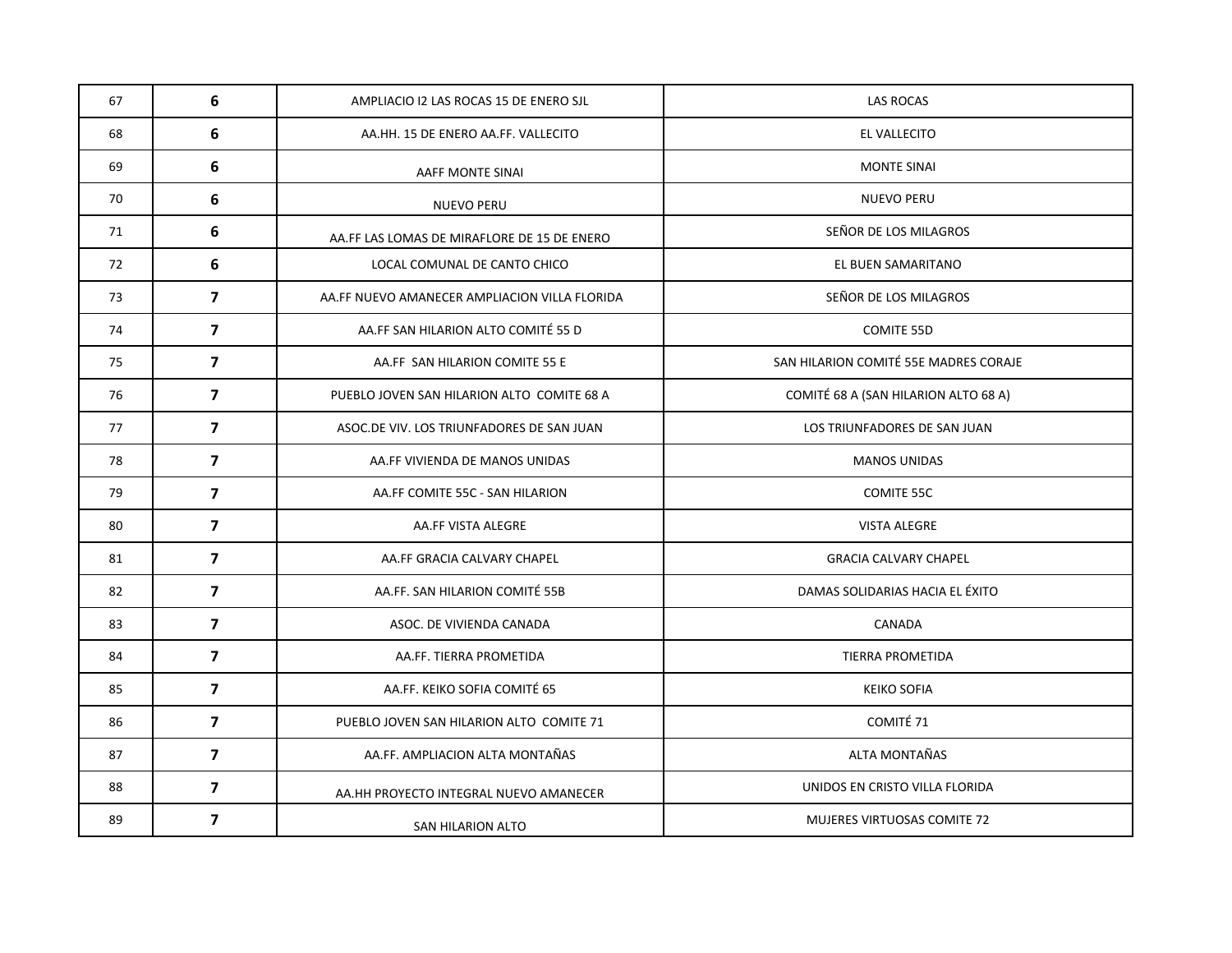| 67 | 6                       | AMPLIACIO I2 LAS ROCAS 15 DE ENERO SJL        | <b>LAS ROCAS</b>                      |
|----|-------------------------|-----------------------------------------------|---------------------------------------|
| 68 | 6                       | AA.HH. 15 DE ENERO AA.FF. VALLECITO           | EL VALLECITO                          |
| 69 | 6                       | AAFF MONTE SINAI                              | <b>MONTE SINAI</b>                    |
| 70 | 6                       | NUEVO PERU                                    | <b>NUEVO PERU</b>                     |
| 71 | 6                       | AA.FF LAS LOMAS DE MIRAFLORE DE 15 DE ENERO   | SEÑOR DE LOS MILAGROS                 |
| 72 | 6                       | LOCAL COMUNAL DE CANTO CHICO                  | EL BUEN SAMARITANO                    |
| 73 | $\overline{\mathbf{z}}$ | AA.FF NUEVO AMANECER AMPLIACION VILLA FLORIDA | SEÑOR DE LOS MILAGROS                 |
| 74 | $\overline{7}$          | AA.FF SAN HILARION ALTO COMITÉ 55 D           | COMITE 55D                            |
| 75 | $\overline{7}$          | AA.FF SAN HILARION COMITE 55 E                | SAN HILARION COMITÉ 55E MADRES CORAJE |
| 76 | $\overline{7}$          | PUEBLO JOVEN SAN HILARION ALTO COMITE 68 A    | COMITÉ 68 A (SAN HILARION ALTO 68 A)  |
| 77 | $\overline{7}$          | ASOC.DE VIV. LOS TRIUNFADORES DE SAN JUAN     | LOS TRIUNFADORES DE SAN JUAN          |
| 78 | $\overline{7}$          | AA.FF VIVIENDA DE MANOS UNIDAS                | <b>MANOS UNIDAS</b>                   |
| 79 | $\overline{7}$          | AA.FF COMITE 55C - SAN HILARION               | COMITE 55C                            |
| 80 | $\overline{7}$          | AA.FF VISTA ALEGRE                            | <b>VISTA ALEGRE</b>                   |
| 81 | $\overline{7}$          | AA.FF GRACIA CALVARY CHAPEL                   | <b>GRACIA CALVARY CHAPEL</b>          |
| 82 | $\overline{7}$          | AA.FF. SAN HILARION COMITÉ 55B                | DAMAS SOLIDARIAS HACIA EL ÉXITO       |
| 83 | $\overline{7}$          | ASOC. DE VIVIENDA CANADA                      | CANADA                                |
| 84 | $\overline{7}$          | AA.FF. TIERRA PROMETIDA                       | TIERRA PROMETIDA                      |
| 85 | $\overline{7}$          | AA.FF. KEIKO SOFIA COMITÉ 65                  | <b>KEIKO SOFIA</b>                    |
| 86 | $\overline{7}$          | PUEBLO JOVEN SAN HILARION ALTO COMITE 71      | COMITÉ 71                             |
| 87 | $\overline{7}$          | AA.FF. AMPLIACION ALTA MONTAÑAS               | ALTA MONTAÑAS                         |
| 88 | $\overline{\mathbf{z}}$ | AA.HH PROYECTO INTEGRAL NUEVO AMANECER        | UNIDOS EN CRISTO VILLA FLORIDA        |
| 89 | $\overline{\mathbf{z}}$ | SAN HILARION ALTO                             | <b>MUJERES VIRTUOSAS COMITE 72</b>    |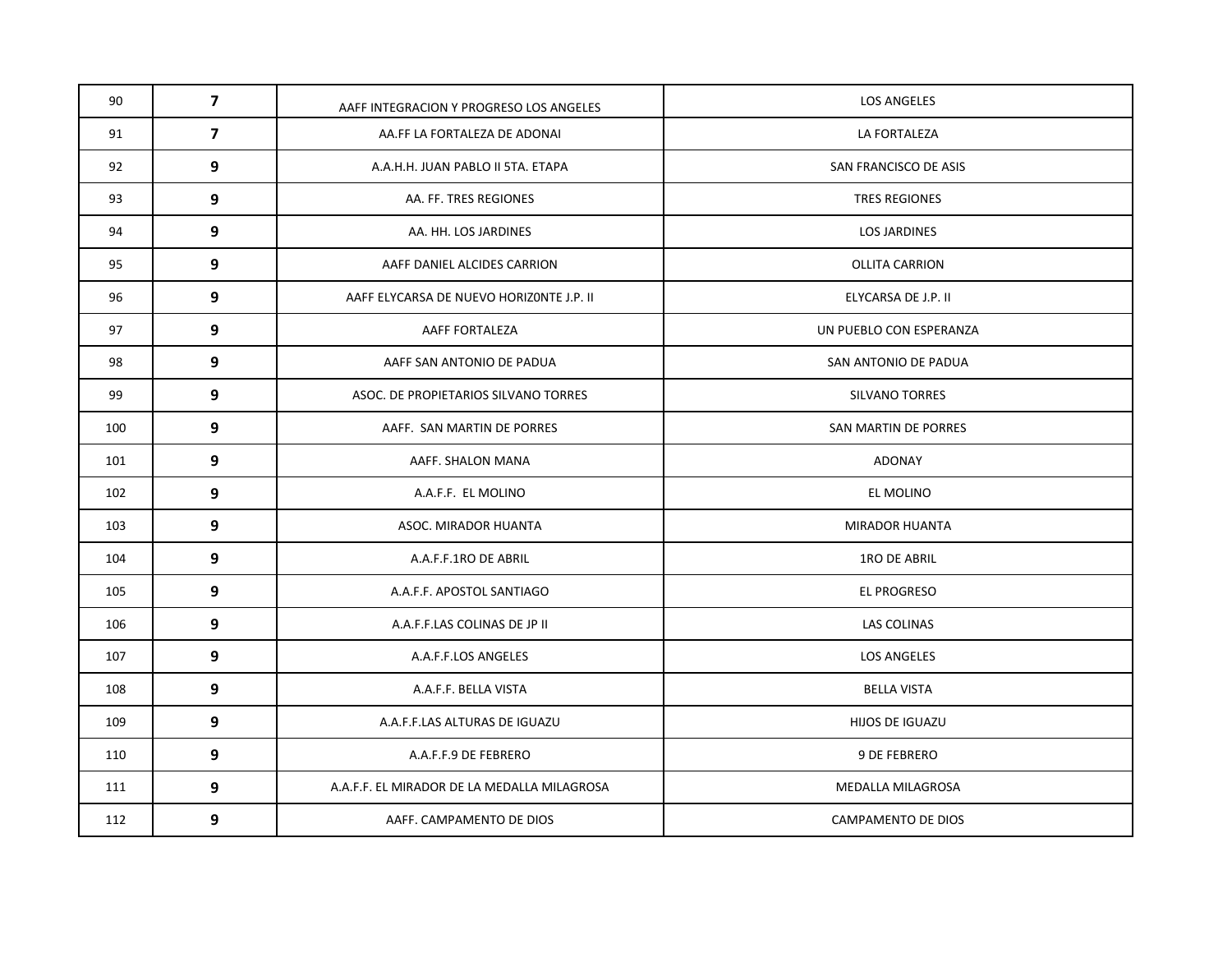| 90  | $\overline{7}$ | AAFF INTEGRACION Y PROGRESO LOS ANGELES     | <b>LOS ANGELES</b>        |
|-----|----------------|---------------------------------------------|---------------------------|
| 91  | $\overline{7}$ | AA.FF LA FORTALEZA DE ADONAI                | LA FORTALEZA              |
| 92  | 9              | A.A.H.H. JUAN PABLO II 5TA. ETAPA           | SAN FRANCISCO DE ASIS     |
| 93  | 9              | AA. FF. TRES REGIONES                       | <b>TRES REGIONES</b>      |
| 94  | 9              | AA. HH. LOS JARDINES                        | <b>LOS JARDINES</b>       |
| 95  | 9              | AAFF DANIEL ALCIDES CARRION                 | <b>OLLITA CARRION</b>     |
| 96  | 9              | AAFF ELYCARSA DE NUEVO HORIZONTE J.P. II    | ELYCARSA DE J.P. II       |
| 97  | 9              | AAFF FORTALEZA                              | UN PUEBLO CON ESPERANZA   |
| 98  | 9              | AAFF SAN ANTONIO DE PADUA                   | SAN ANTONIO DE PADUA      |
| 99  | 9              | ASOC. DE PROPIETARIOS SILVANO TORRES        | SILVANO TORRES            |
| 100 | 9              | AAFF. SAN MARTIN DE PORRES                  | SAN MARTIN DE PORRES      |
| 101 | 9              | AAFF. SHALON MANA                           | ADONAY                    |
| 102 | 9              | A.A.F.F. EL MOLINO                          | EL MOLINO                 |
| 103 | 9              | ASOC. MIRADOR HUANTA                        | MIRADOR HUANTA            |
| 104 | 9              | A.A.F.F.1RO DE ABRIL                        | 1RO DE ABRIL              |
| 105 | 9              | A.A.F.F. APOSTOL SANTIAGO                   | EL PROGRESO               |
| 106 | 9              | A.A.F.F.LAS COLINAS DE JP II                | LAS COLINAS               |
| 107 | 9              | A.A.F.F.LOS ANGELES                         | <b>LOS ANGELES</b>        |
| 108 | 9              | A.A.F.F. BELLA VISTA                        | <b>BELLA VISTA</b>        |
| 109 | 9              | A.A.F.F.LAS ALTURAS DE IGUAZU               | HIJOS DE IGUAZU           |
| 110 | 9              | A.A.F.F.9 DE FEBRERO                        | 9 DE FEBRERO              |
| 111 | 9              | A.A.F.F. EL MIRADOR DE LA MEDALLA MILAGROSA | MEDALLA MILAGROSA         |
| 112 | 9              | AAFF. CAMPAMENTO DE DIOS                    | <b>CAMPAMENTO DE DIOS</b> |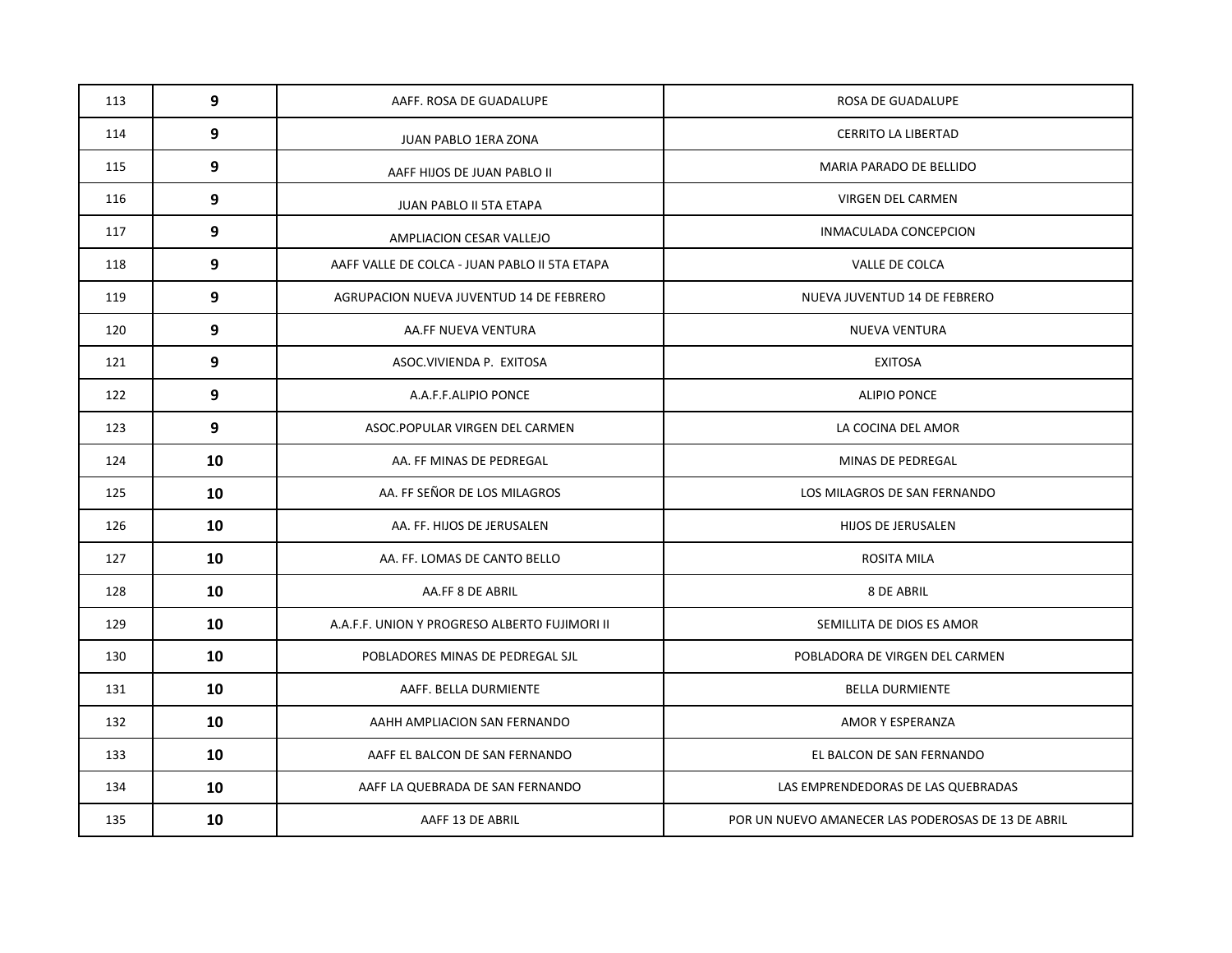| 113 | 9  | AAFF. ROSA DE GUADALUPE                       | ROSA DE GUADALUPE                                  |
|-----|----|-----------------------------------------------|----------------------------------------------------|
| 114 | 9  | <b>JUAN PABLO 1ERA ZONA</b>                   | <b>CERRITO LA LIBERTAD</b>                         |
| 115 | 9  | AAFF HIJOS DE JUAN PABLO II                   | MARIA PARADO DE BELLIDO                            |
| 116 | 9  | JUAN PABLO II 5TA ETAPA                       | VIRGEN DEL CARMEN                                  |
| 117 | 9  | AMPLIACION CESAR VALLEJO                      | INMACULADA CONCEPCION                              |
| 118 | 9  | AAFF VALLE DE COLCA - JUAN PABLO II 5TA ETAPA | VALLE DE COLCA                                     |
| 119 | 9  | AGRUPACION NUEVA JUVENTUD 14 DE FEBRERO       | NUEVA JUVENTUD 14 DE FEBRERO                       |
| 120 | 9  | AA.FF NUEVA VENTURA                           | <b>NUEVA VENTURA</b>                               |
| 121 | 9  | ASOC.VIVIENDA P. EXITOSA                      | <b>EXITOSA</b>                                     |
| 122 | 9  | A.A.F.F.ALIPIO PONCE                          | ALIPIO PONCE                                       |
| 123 | 9  | ASOC.POPULAR VIRGEN DEL CARMEN                | LA COCINA DEL AMOR                                 |
| 124 | 10 | AA. FF MINAS DE PEDREGAL                      | MINAS DE PEDREGAL                                  |
| 125 | 10 | AA. FF SEÑOR DE LOS MILAGROS                  | LOS MILAGROS DE SAN FERNANDO                       |
| 126 | 10 | AA. FF. HIJOS DE JERUSALEN                    | HIJOS DE JERUSALEN                                 |
| 127 | 10 | AA. FF. LOMAS DE CANTO BELLO                  | ROSITA MILA                                        |
| 128 | 10 | AA.FF 8 DE ABRIL                              | 8 DE ABRIL                                         |
| 129 | 10 | A.A.F.F. UNION Y PROGRESO ALBERTO FUJIMORI II | SEMILLITA DE DIOS ES AMOR                          |
| 130 | 10 | POBLADORES MINAS DE PEDREGAL SJL              | POBLADORA DE VIRGEN DEL CARMEN                     |
| 131 | 10 | AAFF. BELLA DURMIENTE                         | <b>BELLA DURMIENTE</b>                             |
| 132 | 10 | AAHH AMPLIACION SAN FERNANDO                  | AMOR Y ESPERANZA                                   |
| 133 | 10 | AAFF EL BALCON DE SAN FERNANDO                | EL BALCON DE SAN FERNANDO                          |
| 134 | 10 | AAFF LA QUEBRADA DE SAN FERNANDO              | LAS EMPRENDEDORAS DE LAS QUEBRADAS                 |
| 135 | 10 | AAFF 13 DE ABRIL                              | POR UN NUEVO AMANECER LAS PODEROSAS DE 13 DE ABRIL |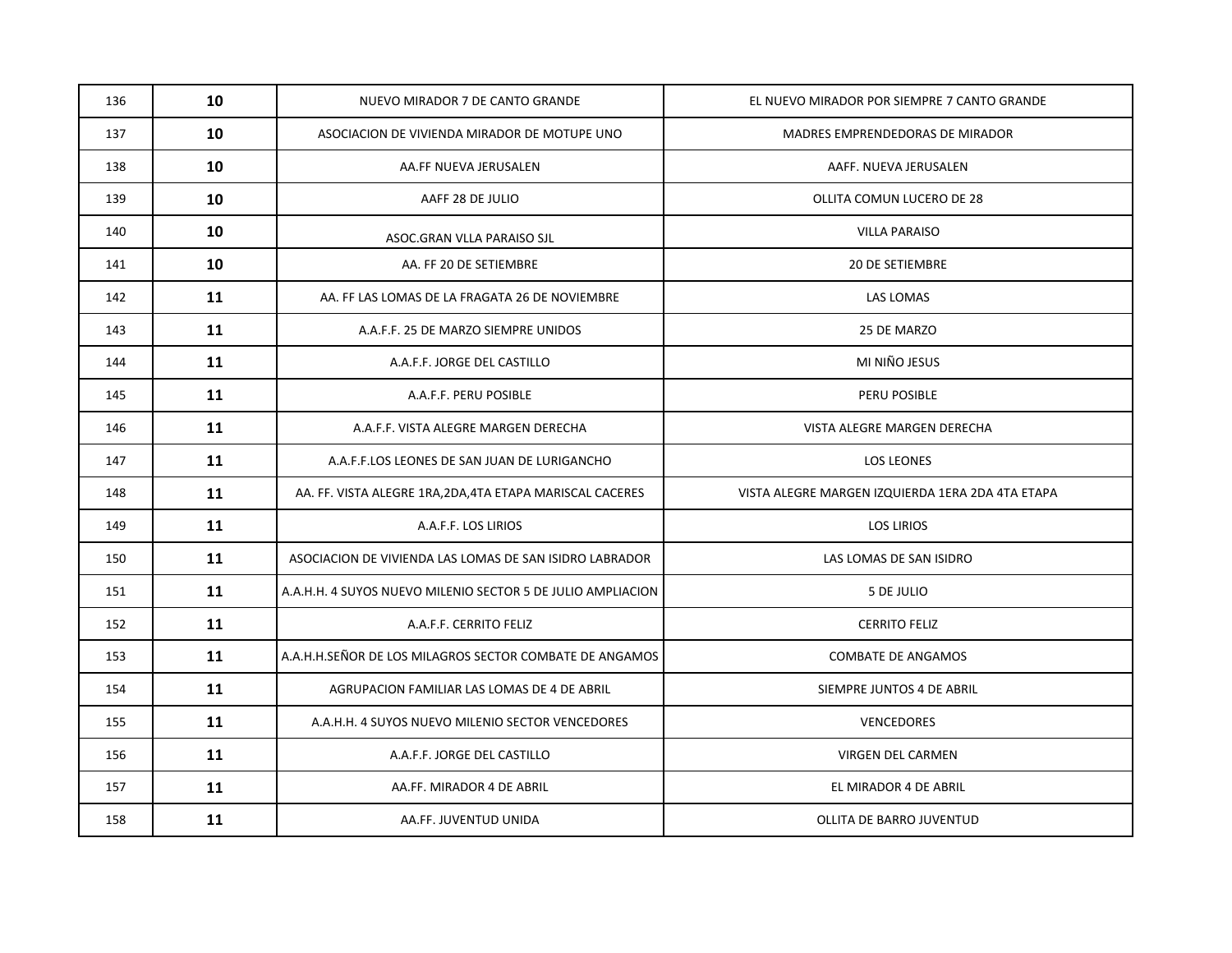| 136 | 10 | NUEVO MIRADOR 7 DE CANTO GRANDE                             | EL NUEVO MIRADOR POR SIEMPRE 7 CANTO GRANDE      |
|-----|----|-------------------------------------------------------------|--------------------------------------------------|
| 137 | 10 | ASOCIACION DE VIVIENDA MIRADOR DE MOTUPE UNO                | MADRES EMPRENDEDORAS DE MIRADOR                  |
| 138 | 10 | AA.FF NUEVA JERUSALEN                                       | AAFF. NUEVA JERUSALEN                            |
| 139 | 10 | AAFF 28 DE JULIO                                            | OLLITA COMUN LUCERO DE 28                        |
| 140 | 10 | ASOC.GRAN VLLA PARAISO SJL                                  | <b>VILLA PARAISO</b>                             |
| 141 | 10 | AA. FF 20 DE SETIEMBRE                                      | <b>20 DE SETIEMBRE</b>                           |
| 142 | 11 | AA. FF LAS LOMAS DE LA FRAGATA 26 DE NOVIEMBRE              | LAS LOMAS                                        |
| 143 | 11 | A.A.F.F. 25 DE MARZO SIEMPRE UNIDOS                         | 25 DE MARZO                                      |
| 144 | 11 | A.A.F.F. JORGE DEL CASTILLO                                 | MI NIÑO JESUS                                    |
| 145 | 11 | A.A.F.F. PERU POSIBLE                                       | PERU POSIBLE                                     |
| 146 | 11 | A.A.F.F. VISTA ALEGRE MARGEN DERECHA                        | VISTA ALEGRE MARGEN DERECHA                      |
| 147 | 11 | A.A.F.F.LOS LEONES DE SAN JUAN DE LURIGANCHO                | LOS LEONES                                       |
| 148 | 11 | AA. FF. VISTA ALEGRE 1RA, 2DA, 4TA ETAPA MARISCAL CACERES   | VISTA ALEGRE MARGEN IZQUIERDA 1ERA 2DA 4TA ETAPA |
| 149 | 11 | A.A.F.F. LOS LIRIOS                                         | <b>LOS LIRIOS</b>                                |
| 150 | 11 | ASOCIACION DE VIVIENDA LAS LOMAS DE SAN ISIDRO LABRADOR     | LAS LOMAS DE SAN ISIDRO                          |
| 151 | 11 | A.A.H.H. 4 SUYOS NUEVO MILENIO SECTOR 5 DE JULIO AMPLIACION | 5 DE JULIO                                       |
| 152 | 11 | A.A.F.F. CERRITO FELIZ                                      | <b>CERRITO FELIZ</b>                             |
| 153 | 11 | A.A.H.H.SEÑOR DE LOS MILAGROS SECTOR COMBATE DE ANGAMOS     | <b>COMBATE DE ANGAMOS</b>                        |
| 154 | 11 | AGRUPACION FAMILIAR LAS LOMAS DE 4 DE ABRIL                 | SIEMPRE JUNTOS 4 DE ABRIL                        |
| 155 | 11 | A.A.H.H. 4 SUYOS NUEVO MILENIO SECTOR VENCEDORES            | <b>VENCEDORES</b>                                |
| 156 | 11 | A.A.F.F. JORGE DEL CASTILLO                                 | VIRGEN DEL CARMEN                                |
| 157 | 11 | AA.FF. MIRADOR 4 DE ABRIL                                   | EL MIRADOR 4 DE ABRIL                            |
| 158 | 11 | AA.FF. JUVENTUD UNIDA                                       | OLLITA DE BARRO JUVENTUD                         |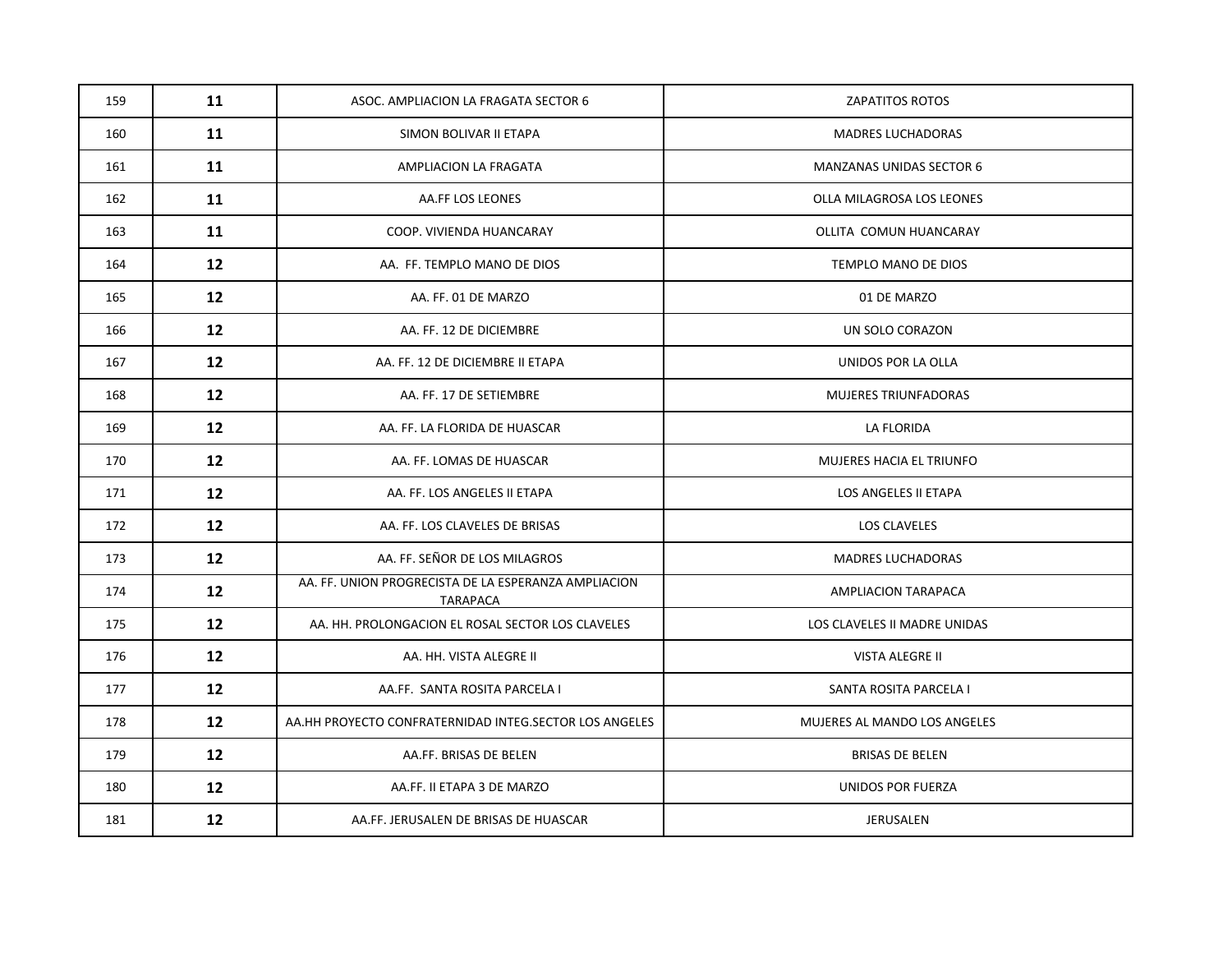| 159 | 11 | ASOC. AMPLIACION LA FRAGATA SECTOR 6                             | <b>ZAPATITOS ROTOS</b>          |
|-----|----|------------------------------------------------------------------|---------------------------------|
| 160 | 11 | SIMON BOLIVAR II ETAPA                                           | <b>MADRES LUCHADORAS</b>        |
| 161 | 11 | AMPLIACION LA FRAGATA                                            | <b>MANZANAS UNIDAS SECTOR 6</b> |
| 162 | 11 | AA.FF LOS LEONES                                                 | OLLA MILAGROSA LOS LEONES       |
| 163 | 11 | COOP. VIVIENDA HUANCARAY                                         | OLLITA COMUN HUANCARAY          |
| 164 | 12 | AA. FF. TEMPLO MANO DE DIOS                                      | TEMPLO MANO DE DIOS             |
| 165 | 12 | AA. FF. 01 DE MARZO                                              | 01 DE MARZO                     |
| 166 | 12 | AA. FF. 12 DE DICIEMBRE                                          | UN SOLO CORAZON                 |
| 167 | 12 | AA. FF. 12 DE DICIEMBRE II ETAPA                                 | UNIDOS POR LA OLLA              |
| 168 | 12 | AA. FF. 17 DE SETIEMBRE                                          | <b>MUJERES TRIUNFADORAS</b>     |
| 169 | 12 | AA. FF. LA FLORIDA DE HUASCAR                                    | LA FLORIDA                      |
| 170 | 12 | AA. FF. LOMAS DE HUASCAR                                         | MUJERES HACIA EL TRIUNFO        |
| 171 | 12 | AA. FF. LOS ANGELES II ETAPA                                     | LOS ANGELES II ETAPA            |
| 172 | 12 | AA. FF. LOS CLAVELES DE BRISAS                                   | <b>LOS CLAVELES</b>             |
| 173 | 12 | AA. FF. SEÑOR DE LOS MILAGROS                                    | <b>MADRES LUCHADORAS</b>        |
| 174 | 12 | AA. FF. UNION PROGRECISTA DE LA ESPERANZA AMPLIACION<br>TARAPACA | AMPLIACION TARAPACA             |
| 175 | 12 | AA. HH. PROLONGACION EL ROSAL SECTOR LOS CLAVELES                | LOS CLAVELES II MADRE UNIDAS    |
| 176 | 12 | AA. HH. VISTA ALEGRE II                                          | <b>VISTA ALEGRE II</b>          |
| 177 | 12 | AA.FF. SANTA ROSITA PARCELA I                                    | SANTA ROSITA PARCELA I          |
| 178 | 12 | AA.HH PROYECTO CONFRATERNIDAD INTEG.SECTOR LOS ANGELES           | MUJERES AL MANDO LOS ANGELES    |
| 179 | 12 | AA.FF. BRISAS DE BELEN                                           | <b>BRISAS DE BELEN</b>          |
| 180 | 12 | AA.FF. II ETAPA 3 DE MARZO                                       | UNIDOS POR FUERZA               |
| 181 | 12 | AA.FF. JERUSALEN DE BRISAS DE HUASCAR                            | JERUSALEN                       |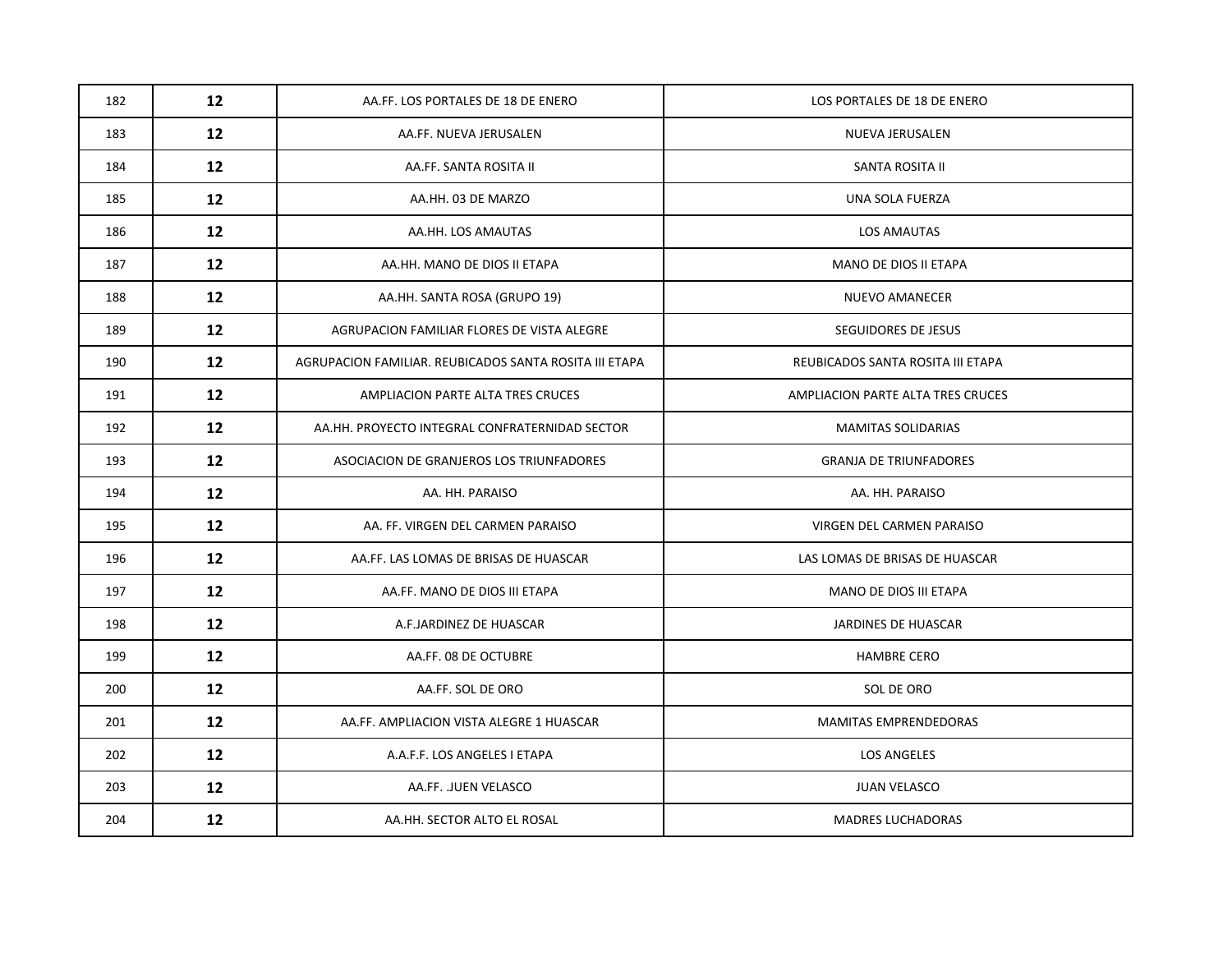| 182 | 12 | AA.FF. LOS PORTALES DE 18 DE ENERO                     | LOS PORTALES DE 18 DE ENERO       |
|-----|----|--------------------------------------------------------|-----------------------------------|
| 183 | 12 | AA.FF. NUEVA JERUSALEN                                 | NUEVA JERUSALEN                   |
| 184 | 12 | AA.FF. SANTA ROSITA II                                 | SANTA ROSITA II                   |
| 185 | 12 | AA.HH. 03 DE MARZO                                     | UNA SOLA FUERZA                   |
| 186 | 12 | AA.HH. LOS AMAUTAS                                     | LOS AMAUTAS                       |
| 187 | 12 | AA.HH. MANO DE DIOS II ETAPA                           | MANO DE DIOS II ETAPA             |
| 188 | 12 | AA.HH. SANTA ROSA (GRUPO 19)                           | <b>NUEVO AMANECER</b>             |
| 189 | 12 | AGRUPACION FAMILIAR FLORES DE VISTA ALEGRE             | SEGUIDORES DE JESUS               |
| 190 | 12 | AGRUPACION FAMILIAR. REUBICADOS SANTA ROSITA III ETAPA | REUBICADOS SANTA ROSITA III ETAPA |
| 191 | 12 | AMPLIACION PARTE ALTA TRES CRUCES                      | AMPLIACION PARTE ALTA TRES CRUCES |
| 192 | 12 | AA.HH. PROYECTO INTEGRAL CONFRATERNIDAD SECTOR         | MAMITAS SOLIDARIAS                |
| 193 | 12 | ASOCIACION DE GRANJEROS LOS TRIUNFADORES               | <b>GRANJA DE TRIUNFADORES</b>     |
| 194 | 12 | AA. HH. PARAISO                                        | AA. HH. PARAISO                   |
| 195 | 12 | AA. FF. VIRGEN DEL CARMEN PARAISO                      | VIRGEN DEL CARMEN PARAISO         |
| 196 | 12 | AA.FF. LAS LOMAS DE BRISAS DE HUASCAR                  | LAS LOMAS DE BRISAS DE HUASCAR    |
| 197 | 12 | AA.FF. MANO DE DIOS III ETAPA                          | MANO DE DIOS III ETAPA            |
| 198 | 12 | A.F.JARDINEZ DE HUASCAR                                | JARDINES DE HUASCAR               |
| 199 | 12 | AA.FF. 08 DE OCTUBRE                                   | <b>HAMBRE CERO</b>                |
| 200 | 12 | AA.FF. SOL DE ORO                                      | SOL DE ORO                        |
| 201 | 12 | AA.FF. AMPLIACION VISTA ALEGRE 1 HUASCAR               | MAMITAS EMPRENDEDORAS             |
| 202 | 12 | A.A.F.F. LOS ANGELES I ETAPA                           | <b>LOS ANGELES</b>                |
| 203 | 12 | AA.FF. .JUEN VELASCO                                   | <b>JUAN VELASCO</b>               |
| 204 | 12 | AA.HH. SECTOR ALTO EL ROSAL                            | <b>MADRES LUCHADORAS</b>          |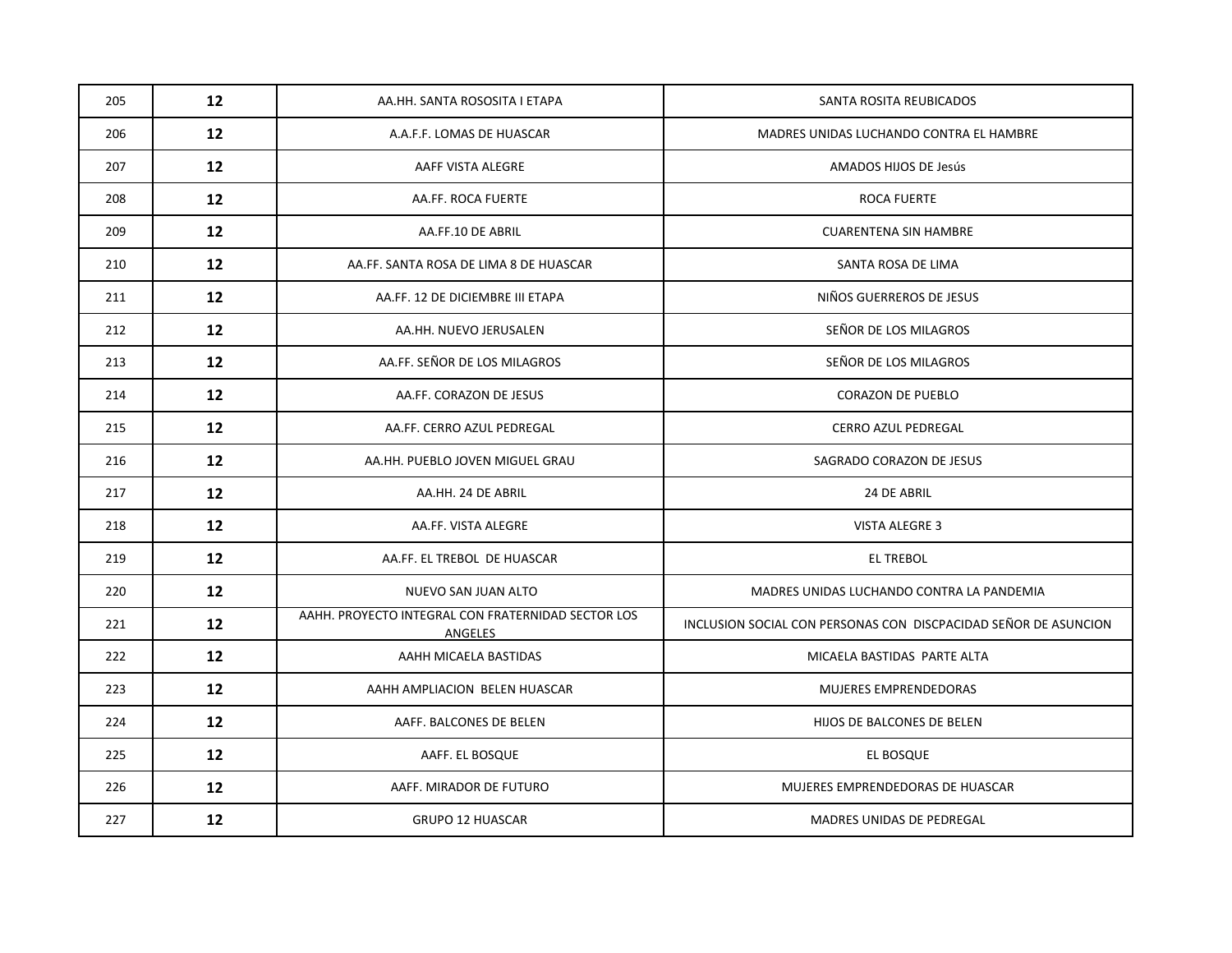| 205 | 12              | AA.HH. SANTA ROSOSITA I ETAPA                                 | SANTA ROSITA REUBICADOS                                         |
|-----|-----------------|---------------------------------------------------------------|-----------------------------------------------------------------|
| 206 | 12              | A.A.F.F. LOMAS DE HUASCAR                                     | MADRES UNIDAS LUCHANDO CONTRA EL HAMBRE                         |
| 207 | 12              | AAFF VISTA ALEGRE                                             | AMADOS HIJOS DE Jesús                                           |
| 208 | 12              | AA.FF. ROCA FUERTE                                            | <b>ROCA FUERTE</b>                                              |
| 209 | 12              | AA.FF.10 DE ABRIL                                             | <b>CUARENTENA SIN HAMBRE</b>                                    |
| 210 | 12              | AA.FF. SANTA ROSA DE LIMA 8 DE HUASCAR                        | SANTA ROSA DE LIMA                                              |
| 211 | 12              | AA.FF. 12 DE DICIEMBRE III ETAPA                              | NIÑOS GUERREROS DE JESUS                                        |
| 212 | 12              | AA.HH. NUEVO JERUSALEN                                        | SEÑOR DE LOS MILAGROS                                           |
| 213 | 12 <sup>2</sup> | AA.FF. SEÑOR DE LOS MILAGROS                                  | SEÑOR DE LOS MILAGROS                                           |
| 214 | 12              | AA.FF. CORAZON DE JESUS                                       | <b>CORAZON DE PUEBLO</b>                                        |
| 215 | 12              | AA.FF. CERRO AZUL PEDREGAL                                    | <b>CERRO AZUL PEDREGAL</b>                                      |
| 216 | 12              | AA.HH. PUEBLO JOVEN MIGUEL GRAU                               | SAGRADO CORAZON DE JESUS                                        |
| 217 | 12              | AA.HH. 24 DE ABRIL                                            | 24 DE ABRIL                                                     |
| 218 | 12              | AA.FF. VISTA ALEGRE                                           | <b>VISTA ALEGRE 3</b>                                           |
| 219 | 12              | AA.FF. EL TREBOL DE HUASCAR                                   | <b>EL TREBOL</b>                                                |
| 220 | 12              | NUEVO SAN JUAN ALTO                                           | MADRES UNIDAS LUCHANDO CONTRA LA PANDEMIA                       |
| 221 | 12 <sup>2</sup> | AAHH. PROYECTO INTEGRAL CON FRATERNIDAD SECTOR LOS<br>ANGELES | INCLUSION SOCIAL CON PERSONAS CON DISCPACIDAD SEÑOR DE ASUNCION |
| 222 | 12              | AAHH MICAELA BASTIDAS                                         | MICAELA BASTIDAS PARTE ALTA                                     |
| 223 | 12              | AAHH AMPLIACION BELEN HUASCAR                                 | MUJERES EMPRENDEDORAS                                           |
| 224 | 12              | AAFF. BALCONES DE BELEN                                       | HIJOS DE BALCONES DE BELEN                                      |
| 225 | 12              | AAFF. EL BOSQUE                                               | EL BOSQUE                                                       |
| 226 | 12              | AAFF. MIRADOR DE FUTURO                                       | MUJERES EMPRENDEDORAS DE HUASCAR                                |
| 227 | 12              | <b>GRUPO 12 HUASCAR</b>                                       | MADRES UNIDAS DE PEDREGAL                                       |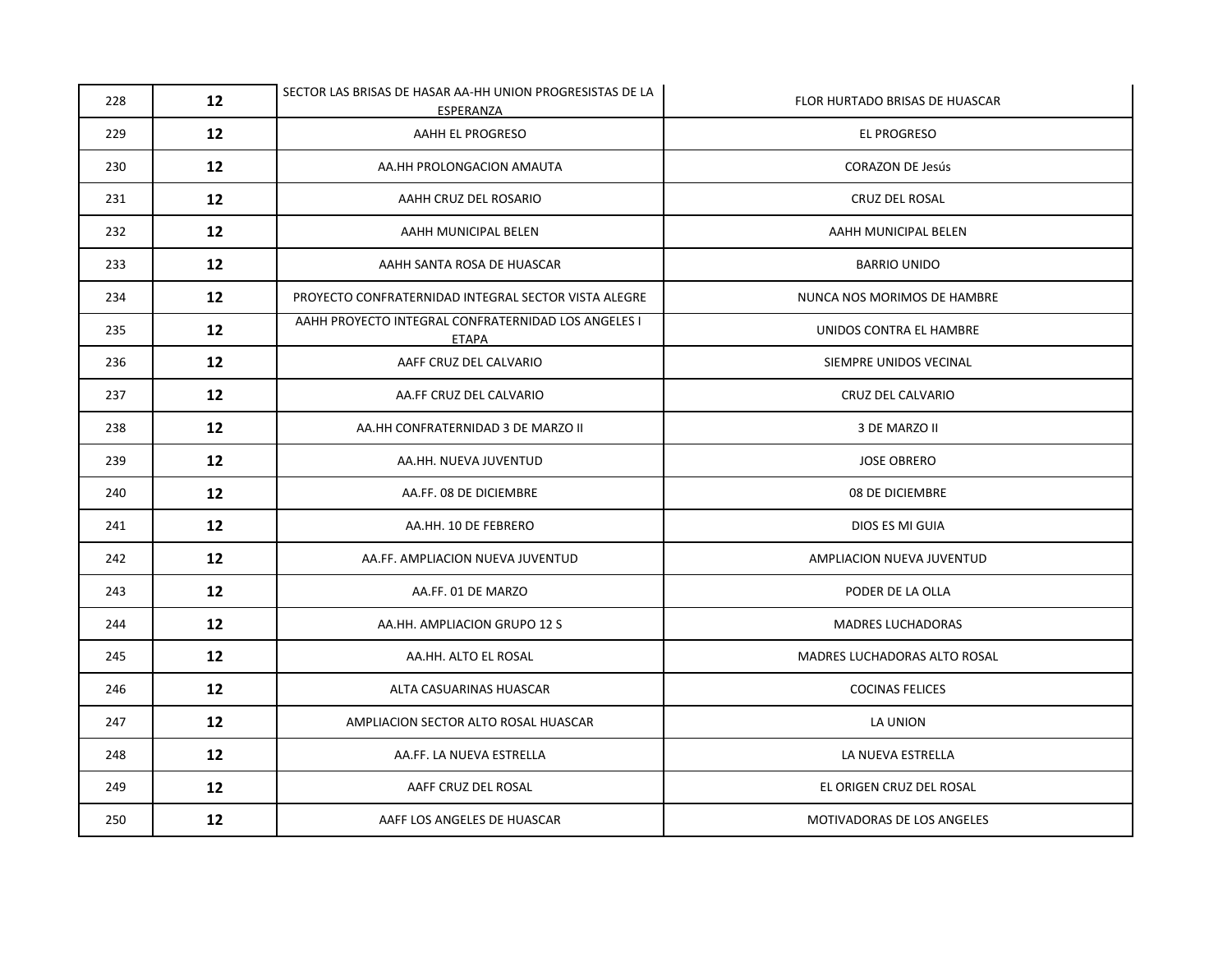| 228 | 12                | SECTOR LAS BRISAS DE HASAR AA-HH UNION PROGRESISTAS DE LA<br>ESPERANZA | FLOR HURTADO BRISAS DE HUASCAR |
|-----|-------------------|------------------------------------------------------------------------|--------------------------------|
| 229 | 12                | AAHH EL PROGRESO                                                       | EL PROGRESO                    |
| 230 | 12                | AA.HH PROLONGACION AMAUTA                                              | <b>CORAZON DE Jesús</b>        |
| 231 | $12 \overline{ }$ | AAHH CRUZ DEL ROSARIO                                                  | CRUZ DEL ROSAL                 |
| 232 | 12                | AAHH MUNICIPAL BELEN                                                   | AAHH MUNICIPAL BELEN           |
| 233 | $12 \overline{ }$ | AAHH SANTA ROSA DE HUASCAR                                             | <b>BARRIO UNIDO</b>            |
| 234 | 12                | PROYECTO CONFRATERNIDAD INTEGRAL SECTOR VISTA ALEGRE                   | NUNCA NOS MORIMOS DE HAMBRE    |
| 235 | $12 \overline{ }$ | AAHH PROYECTO INTEGRAL CONFRATERNIDAD LOS ANGELES I<br>ETAPA           | UNIDOS CONTRA EL HAMBRE        |
| 236 | 12                | AAFF CRUZ DEL CALVARIO                                                 | SIEMPRE UNIDOS VECINAL         |
| 237 | $12 \overline{ }$ | AA.FF CRUZ DEL CALVARIO                                                | CRUZ DEL CALVARIO              |
| 238 | 12                | AA.HH CONFRATERNIDAD 3 DE MARZO II                                     | 3 DE MARZO II                  |
| 239 | 12                | AA.HH. NUEVA JUVENTUD                                                  | <b>JOSE OBRERO</b>             |
| 240 | 12                | AA.FF. 08 DE DICIEMBRE                                                 | 08 DE DICIEMBRE                |
| 241 | 12                | AA.HH. 10 DE FEBRERO                                                   | DIOS ES MI GUIA                |
| 242 | 12                | AA.FF. AMPLIACION NUEVA JUVENTUD                                       | AMPLIACION NUEVA JUVENTUD      |
| 243 | 12                | AA.FF. 01 DE MARZO                                                     | PODER DE LA OLLA               |
| 244 | 12                | AA.HH. AMPLIACION GRUPO 12 S                                           | <b>MADRES LUCHADORAS</b>       |
| 245 | 12                | AA.HH. ALTO EL ROSAL                                                   | MADRES LUCHADORAS ALTO ROSAL   |
| 246 | 12                | ALTA CASUARINAS HUASCAR                                                | <b>COCINAS FELICES</b>         |
| 247 | 12                | AMPLIACION SECTOR ALTO ROSAL HUASCAR                                   | LA UNION                       |
| 248 | 12                | AA.FF. LA NUEVA ESTRELLA                                               | LA NUEVA ESTRELLA              |
| 249 | 12                | AAFF CRUZ DEL ROSAL                                                    | EL ORIGEN CRUZ DEL ROSAL       |
| 250 | $12 \overline{ }$ | AAFF LOS ANGELES DE HUASCAR                                            | MOTIVADORAS DE LOS ANGELES     |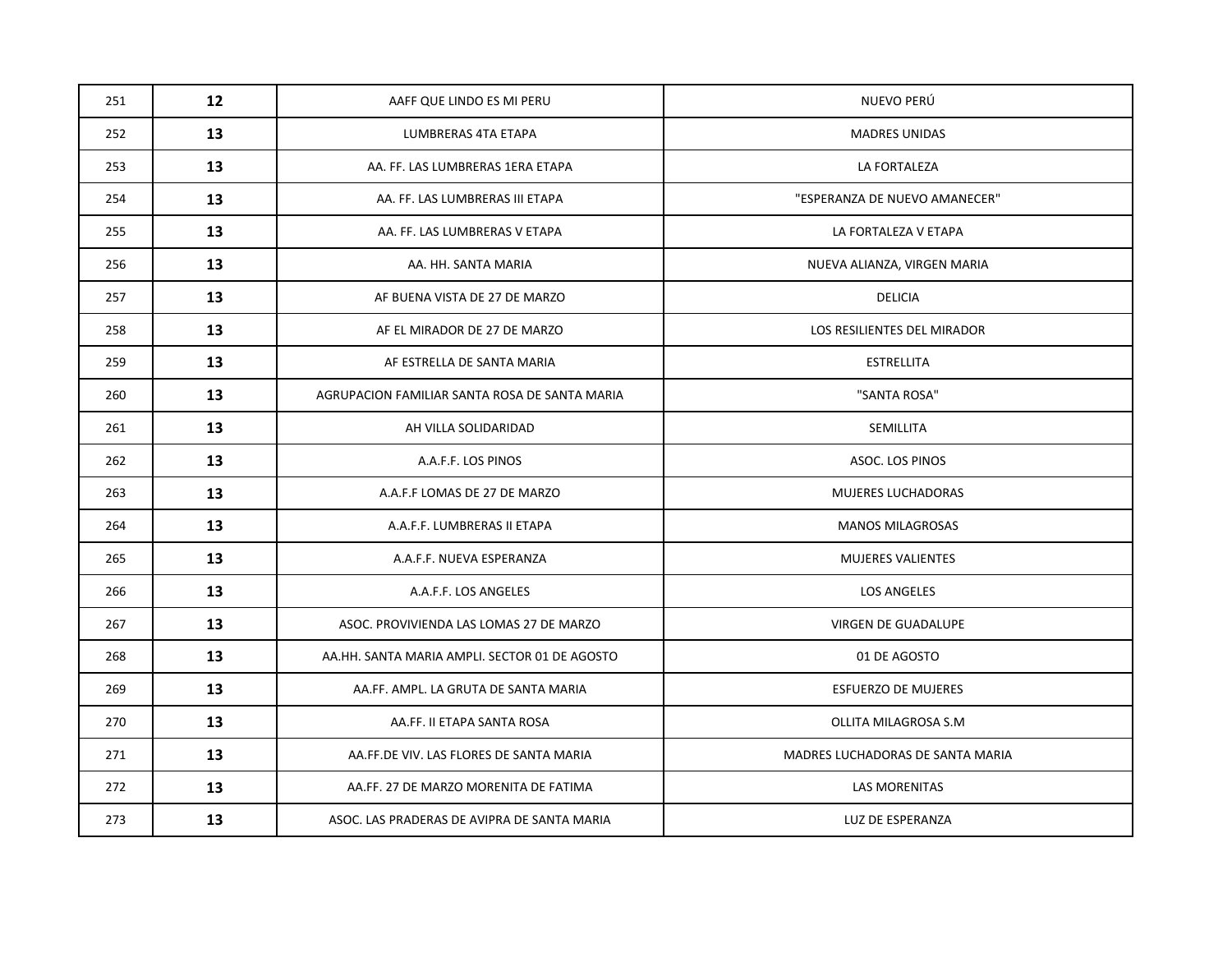| 251 | 12 | AAFF QUE LINDO ES MI PERU                     | NUEVO PERÚ                       |
|-----|----|-----------------------------------------------|----------------------------------|
| 252 | 13 | LUMBRERAS 4TA ETAPA                           | <b>MADRES UNIDAS</b>             |
| 253 | 13 | AA. FF. LAS LUMBRERAS 1ERA ETAPA              | LA FORTALEZA                     |
| 254 | 13 | AA. FF. LAS LUMBRERAS III ETAPA               | "ESPERANZA DE NUEVO AMANECER"    |
| 255 | 13 | AA. FF. LAS LUMBRERAS V ETAPA                 | LA FORTALEZA V ETAPA             |
| 256 | 13 | AA. HH. SANTA MARIA                           | NUEVA ALIANZA, VIRGEN MARIA      |
| 257 | 13 | AF BUENA VISTA DE 27 DE MARZO                 | DELICIA                          |
| 258 | 13 | AF EL MIRADOR DE 27 DE MARZO                  | LOS RESILIENTES DEL MIRADOR      |
| 259 | 13 | AF ESTRELLA DE SANTA MARIA                    | <b>ESTRELLITA</b>                |
| 260 | 13 | AGRUPACION FAMILIAR SANTA ROSA DE SANTA MARIA | "SANTA ROSA"                     |
| 261 | 13 | AH VILLA SOLIDARIDAD                          | SEMILLITA                        |
| 262 | 13 | A.A.F.F. LOS PINOS                            | ASOC. LOS PINOS                  |
| 263 | 13 | A.A.F.F LOMAS DE 27 DE MARZO                  | <b>MUJERES LUCHADORAS</b>        |
| 264 | 13 | A.A.F.F. LUMBRERAS II ETAPA                   | <b>MANOS MILAGROSAS</b>          |
| 265 | 13 | A.A.F.F. NUEVA ESPERANZA                      | MUJERES VALIENTES                |
| 266 | 13 | A.A.F.F. LOS ANGELES                          | <b>LOS ANGELES</b>               |
| 267 | 13 | ASOC. PROVIVIENDA LAS LOMAS 27 DE MARZO       | VIRGEN DE GUADALUPE              |
| 268 | 13 | AA.HH. SANTA MARIA AMPLI. SECTOR 01 DE AGOSTO | 01 DE AGOSTO                     |
| 269 | 13 | AA.FF. AMPL. LA GRUTA DE SANTA MARIA          | <b>ESFUERZO DE MUJERES</b>       |
| 270 | 13 | AA.FF. II ETAPA SANTA ROSA                    | OLLITA MILAGROSA S.M             |
| 271 | 13 | AA.FF.DE VIV. LAS FLORES DE SANTA MARIA       | MADRES LUCHADORAS DE SANTA MARIA |
| 272 | 13 | AA.FF. 27 DE MARZO MORENITA DE FATIMA         | LAS MORENITAS                    |
| 273 | 13 | ASOC. LAS PRADERAS DE AVIPRA DE SANTA MARIA   | LUZ DE ESPERANZA                 |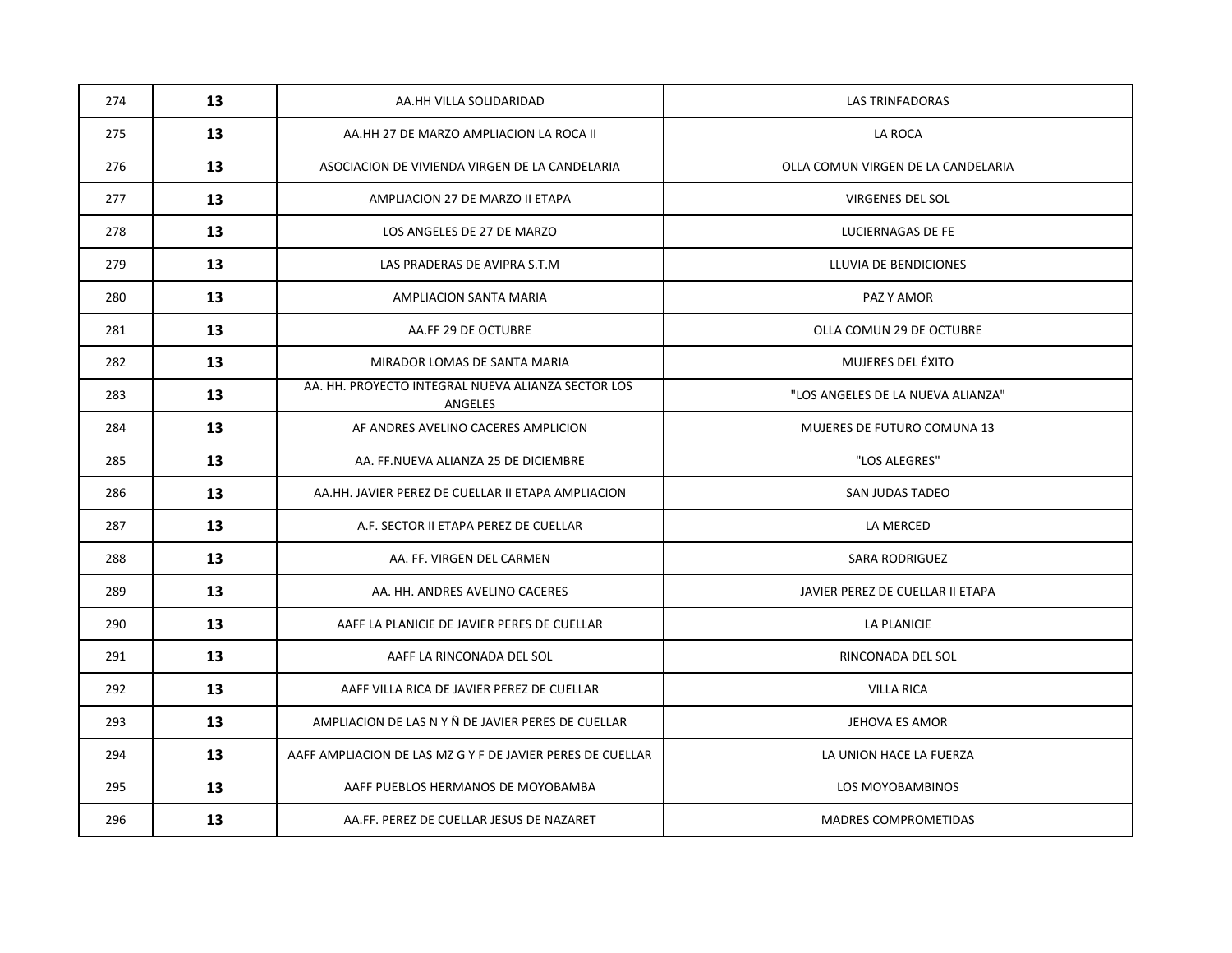| 274 | 13 | AA.HH VILLA SOLIDARIDAD                                       | <b>LAS TRINFADORAS</b>             |
|-----|----|---------------------------------------------------------------|------------------------------------|
| 275 | 13 | AA.HH 27 DE MARZO AMPLIACION LA ROCA II                       | <b>LA ROCA</b>                     |
| 276 | 13 | ASOCIACION DE VIVIENDA VIRGEN DE LA CANDELARIA                | OLLA COMUN VIRGEN DE LA CANDELARIA |
| 277 | 13 | AMPLIACION 27 DE MARZO II ETAPA                               | <b>VIRGENES DEL SOL</b>            |
| 278 | 13 | LOS ANGELES DE 27 DE MARZO                                    | LUCIERNAGAS DE FE                  |
| 279 | 13 | LAS PRADERAS DE AVIPRA S.T.M                                  | LLUVIA DE BENDICIONES              |
| 280 | 13 | AMPLIACION SANTA MARIA                                        | PAZ Y AMOR                         |
| 281 | 13 | AA.FF 29 DE OCTUBRE                                           | OLLA COMUN 29 DE OCTUBRE           |
| 282 | 13 | MIRADOR LOMAS DE SANTA MARIA                                  | MUJERES DEL ÉXITO                  |
| 283 | 13 | AA. HH. PROYECTO INTEGRAL NUEVA ALIANZA SECTOR LOS<br>ANGELES | "LOS ANGELES DE LA NUEVA ALIANZA"  |
| 284 | 13 | AF ANDRES AVELINO CACERES AMPLICION                           | MUJERES DE FUTURO COMUNA 13        |
| 285 | 13 | AA. FF.NUEVA ALIANZA 25 DE DICIEMBRE                          | "LOS ALEGRES"                      |
| 286 | 13 | AA.HH. JAVIER PEREZ DE CUELLAR II ETAPA AMPLIACION            | SAN JUDAS TADEO                    |
| 287 | 13 | A.F. SECTOR II ETAPA PEREZ DE CUELLAR                         | LA MERCED                          |
| 288 | 13 | AA. FF. VIRGEN DEL CARMEN                                     | <b>SARA RODRIGUEZ</b>              |
| 289 | 13 | AA. HH. ANDRES AVELINO CACERES                                | JAVIER PEREZ DE CUELLAR II ETAPA   |
| 290 | 13 | AAFF LA PLANICIE DE JAVIER PERES DE CUELLAR                   | LA PLANICIE                        |
| 291 | 13 | AAFF LA RINCONADA DEL SOL                                     | RINCONADA DEL SOL                  |
| 292 | 13 | AAFF VILLA RICA DE JAVIER PEREZ DE CUELLAR                    | <b>VILLA RICA</b>                  |
| 293 | 13 | AMPLIACION DE LAS N Y Ñ DE JAVIER PERES DE CUELLAR            | JEHOVA ES AMOR                     |
| 294 | 13 | AAFF AMPLIACION DE LAS MZ G Y F DE JAVIER PERES DE CUELLAR    | LA UNION HACE LA FUERZA            |
| 295 | 13 | AAFF PUEBLOS HERMANOS DE MOYOBAMBA                            | LOS MOYOBAMBINOS                   |
| 296 | 13 | AA.FF. PEREZ DE CUELLAR JESUS DE NAZARET                      | <b>MADRES COMPROMETIDAS</b>        |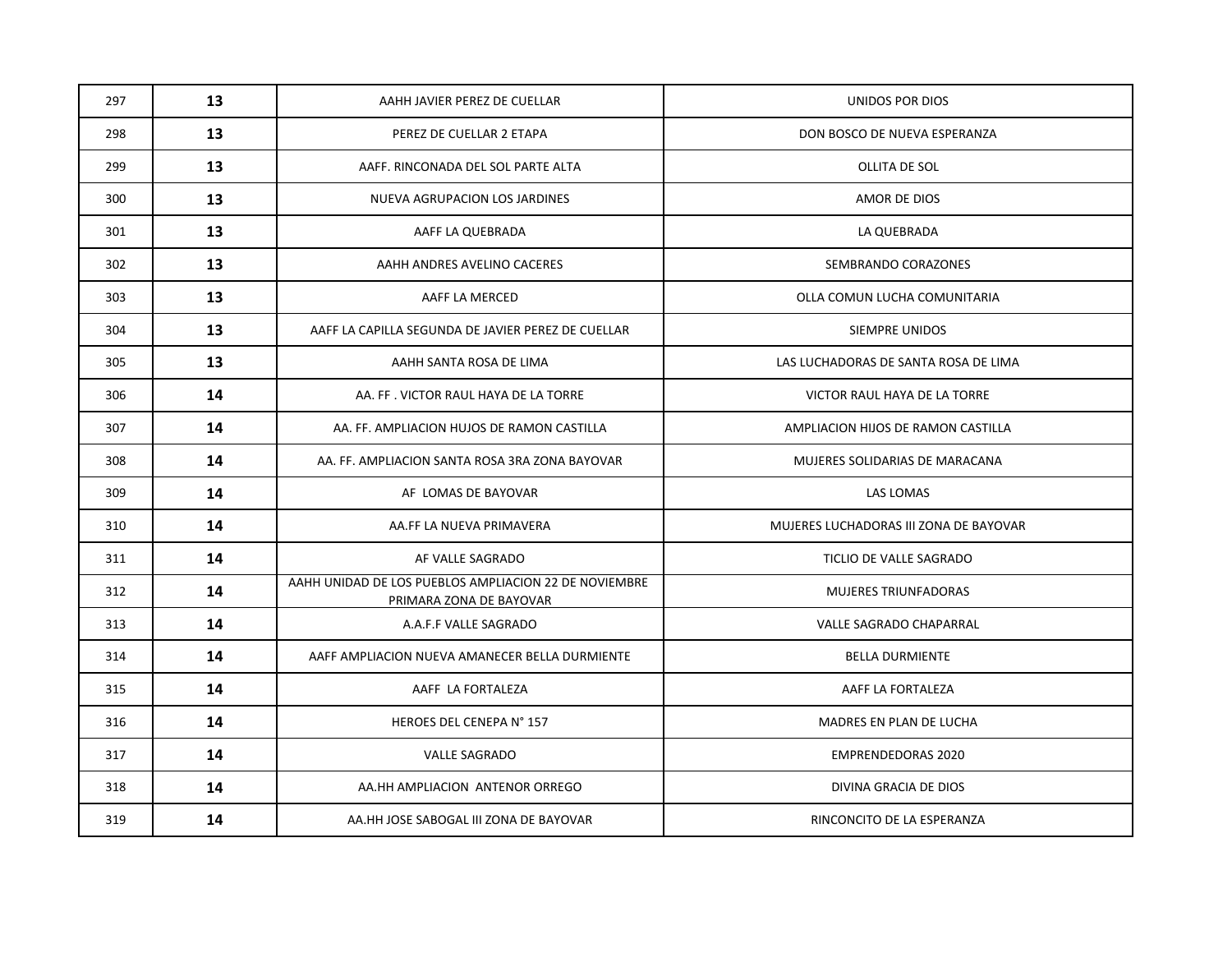| 297 | 13 | AAHH JAVIER PEREZ DE CUELLAR                                                     | UNIDOS POR DIOS                        |
|-----|----|----------------------------------------------------------------------------------|----------------------------------------|
| 298 | 13 | PEREZ DE CUELLAR 2 ETAPA                                                         | DON BOSCO DE NUEVA ESPERANZA           |
| 299 | 13 | AAFF. RINCONADA DEL SOL PARTE ALTA                                               | OLLITA DE SOL                          |
| 300 | 13 | NUEVA AGRUPACION LOS JARDINES                                                    | AMOR DE DIOS                           |
| 301 | 13 | AAFF LA QUEBRADA                                                                 | LA QUEBRADA                            |
| 302 | 13 | AAHH ANDRES AVELINO CACERES                                                      | SEMBRANDO CORAZONES                    |
| 303 | 13 | AAFF LA MERCED                                                                   | OLLA COMUN LUCHA COMUNITARIA           |
| 304 | 13 | AAFF LA CAPILLA SEGUNDA DE JAVIER PEREZ DE CUELLAR                               | <b>SIEMPRE UNIDOS</b>                  |
| 305 | 13 | AAHH SANTA ROSA DE LIMA                                                          | LAS LUCHADORAS DE SANTA ROSA DE LIMA   |
| 306 | 14 | AA. FF. VICTOR RAUL HAYA DE LA TORRE                                             | VICTOR RAUL HAYA DE LA TORRE           |
| 307 | 14 | AA. FF. AMPLIACION HUJOS DE RAMON CASTILLA                                       | AMPLIACION HIJOS DE RAMON CASTILLA     |
| 308 | 14 | AA. FF. AMPLIACION SANTA ROSA 3RA ZONA BAYOVAR                                   | MUJERES SOLIDARIAS DE MARACANA         |
| 309 | 14 | AF LOMAS DE BAYOVAR                                                              | LAS LOMAS                              |
| 310 | 14 | AA.FF LA NUEVA PRIMAVERA                                                         | MUJERES LUCHADORAS III ZONA DE BAYOVAR |
| 311 | 14 | AF VALLE SAGRADO                                                                 | TICLIO DE VALLE SAGRADO                |
| 312 | 14 | AAHH UNIDAD DE LOS PUEBLOS AMPLIACION 22 DE NOVIEMBRE<br>PRIMARA ZONA DE BAYOVAR | <b>MUJERES TRIUNFADORAS</b>            |
| 313 | 14 | A.A.F.F VALLE SAGRADO                                                            | VALLE SAGRADO CHAPARRAL                |
| 314 | 14 | AAFF AMPLIACION NUEVA AMANECER BELLA DURMIENTE                                   | <b>BELLA DURMIENTE</b>                 |
| 315 | 14 | AAFF LA FORTALEZA                                                                | AAFF LA FORTALEZA                      |
| 316 | 14 | HEROES DEL CENEPA N° 157                                                         | MADRES EN PLAN DE LUCHA                |
| 317 | 14 | <b>VALLE SAGRADO</b>                                                             | <b>EMPRENDEDORAS 2020</b>              |
| 318 | 14 | AA.HH AMPLIACION ANTENOR ORREGO                                                  | DIVINA GRACIA DE DIOS                  |
| 319 | 14 | AA.HH JOSE SABOGAL III ZONA DE BAYOVAR                                           | RINCONCITO DE LA ESPERANZA             |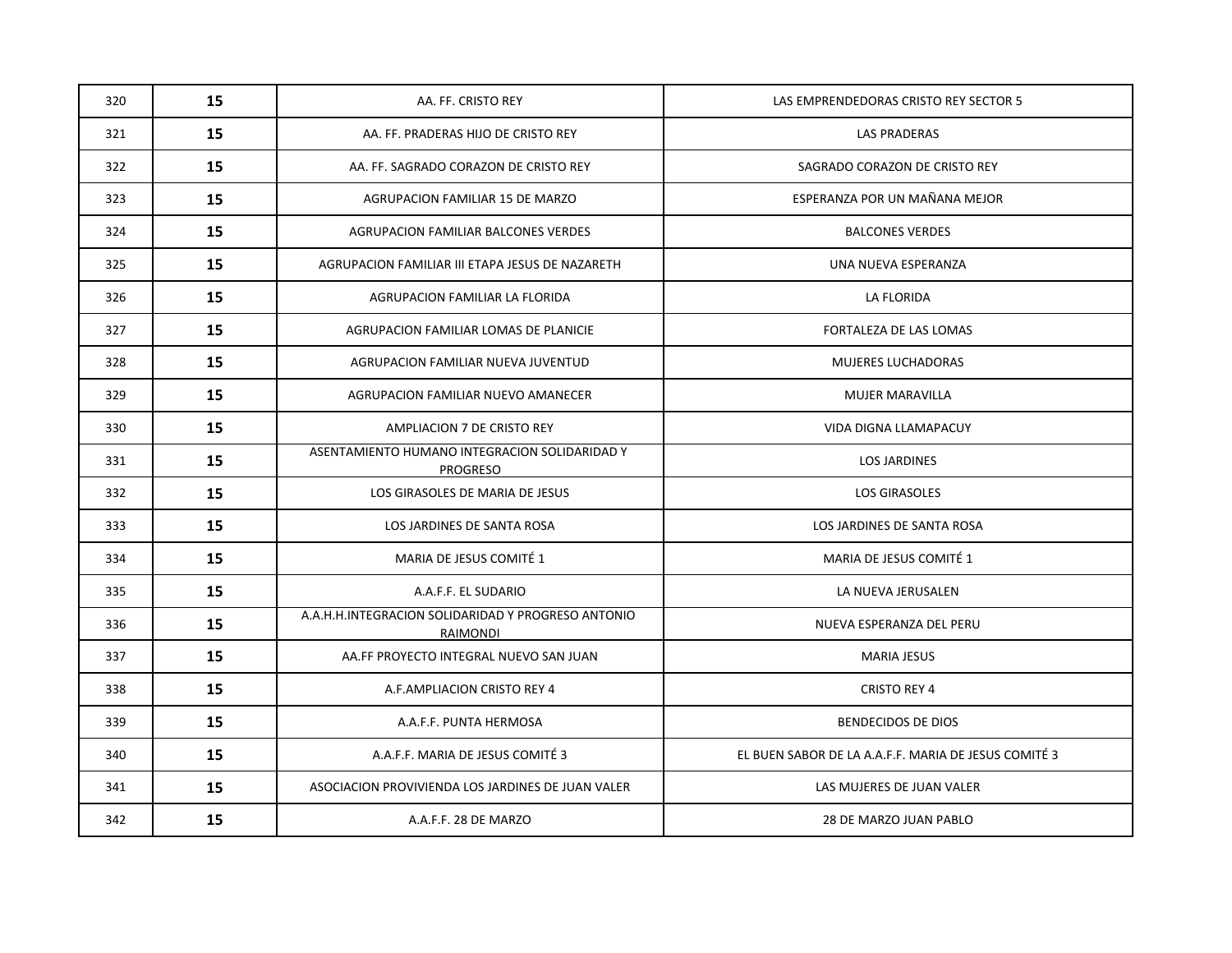| 320 | 15 | AA. FF. CRISTO REY                                                    | LAS EMPRENDEDORAS CRISTO REY SECTOR 5                |
|-----|----|-----------------------------------------------------------------------|------------------------------------------------------|
| 321 | 15 | AA. FF. PRADERAS HIJO DE CRISTO REY                                   | <b>LAS PRADERAS</b>                                  |
| 322 | 15 | AA. FF. SAGRADO CORAZON DE CRISTO REY                                 | SAGRADO CORAZON DE CRISTO REY                        |
| 323 | 15 | AGRUPACION FAMILIAR 15 DE MARZO                                       | ESPERANZA POR UN MAÑANA MEJOR                        |
| 324 | 15 | AGRUPACION FAMILIAR BALCONES VERDES                                   | <b>BALCONES VERDES</b>                               |
| 325 | 15 | AGRUPACION FAMILIAR III ETAPA JESUS DE NAZARETH                       | UNA NUEVA ESPERANZA                                  |
| 326 | 15 | AGRUPACION FAMILIAR LA FLORIDA                                        | LA FLORIDA                                           |
| 327 | 15 | AGRUPACION FAMILIAR LOMAS DE PLANICIE                                 | FORTALEZA DE LAS LOMAS                               |
| 328 | 15 | AGRUPACION FAMILIAR NUEVA JUVENTUD                                    | <b>MUJERES LUCHADORAS</b>                            |
| 329 | 15 | AGRUPACION FAMILIAR NUEVO AMANECER                                    | <b>MUJER MARAVILLA</b>                               |
| 330 | 15 | AMPLIACION 7 DE CRISTO REY                                            | VIDA DIGNA LLAMAPACUY                                |
| 331 | 15 | ASENTAMIENTO HUMANO INTEGRACION SOLIDARIDAD Y<br><b>PROGRESO</b>      | <b>LOS JARDINES</b>                                  |
| 332 | 15 | LOS GIRASOLES DE MARIA DE JESUS                                       | <b>LOS GIRASOLES</b>                                 |
| 333 | 15 | LOS JARDINES DE SANTA ROSA                                            | LOS JARDINES DE SANTA ROSA                           |
| 334 | 15 | MARIA DE JESUS COMITÉ 1                                               | MARIA DE JESUS COMITÉ 1                              |
| 335 | 15 | A.A.F.F. EL SUDARIO                                                   | LA NUEVA JERUSALEN                                   |
| 336 | 15 | A.A.H.H.INTEGRACION SOLIDARIDAD Y PROGRESO ANTONIO<br><b>RAIMONDI</b> | NUEVA ESPERANZA DEL PERU                             |
| 337 | 15 | AA.FF PROYECTO INTEGRAL NUEVO SAN JUAN                                | <b>MARIA JESUS</b>                                   |
| 338 | 15 | A.F.AMPLIACION CRISTO REY 4                                           | <b>CRISTO REY 4</b>                                  |
| 339 | 15 | A.A.F.F. PUNTA HERMOSA                                                | <b>BENDECIDOS DE DIOS</b>                            |
| 340 | 15 | A.A.F.F. MARIA DE JESUS COMITÉ 3                                      | EL BUEN SABOR DE LA A.A.F.F. MARIA DE JESUS COMITÉ 3 |
| 341 | 15 | ASOCIACION PROVIVIENDA LOS JARDINES DE JUAN VALER                     | LAS MUJERES DE JUAN VALER                            |
| 342 | 15 | A.A.F.F. 28 DE MARZO                                                  | 28 DE MARZO JUAN PABLO                               |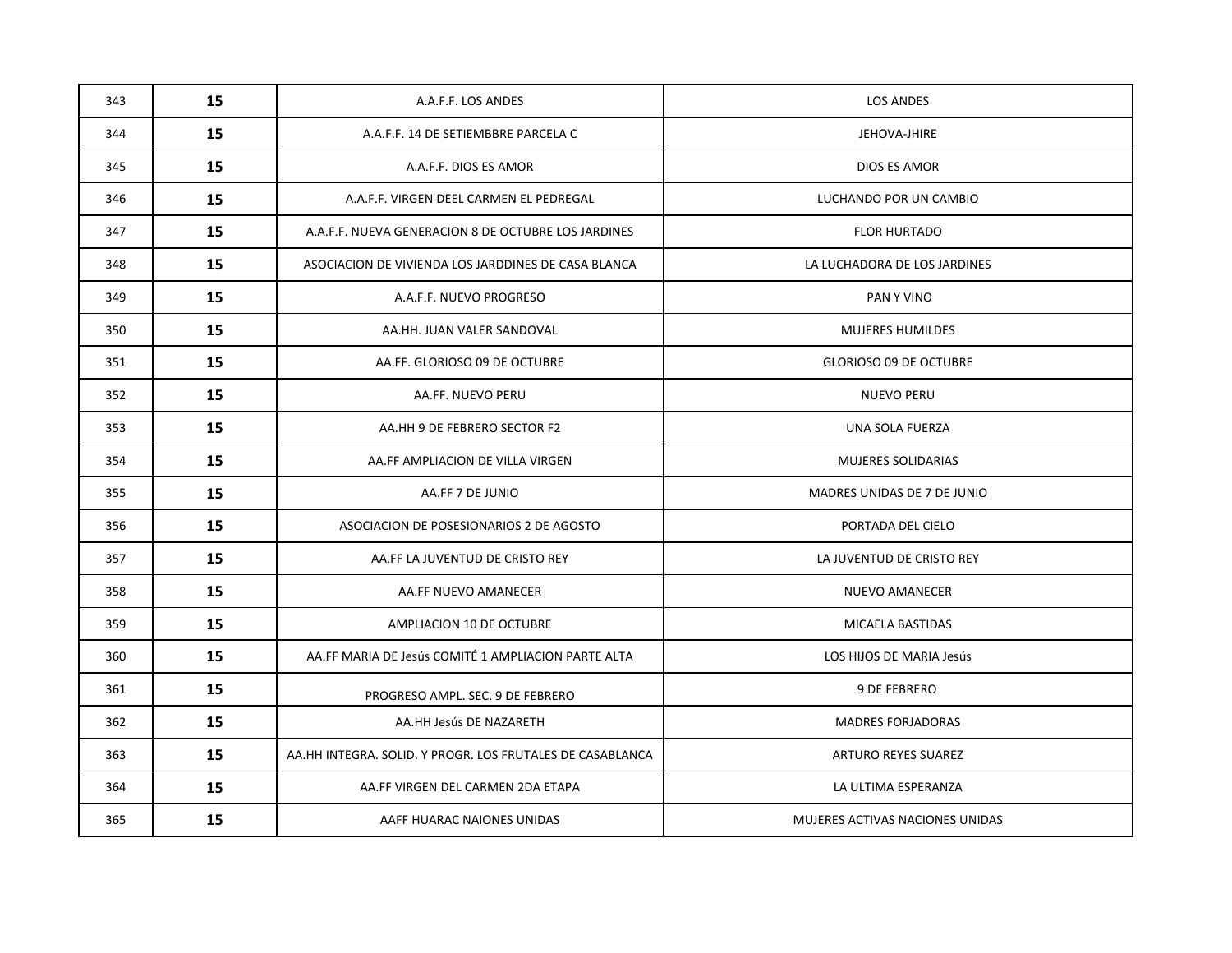| 343 | 15 | A.A.F.F. LOS ANDES                                        | <b>LOS ANDES</b>                |
|-----|----|-----------------------------------------------------------|---------------------------------|
| 344 | 15 | A.A.F.F. 14 DE SETIEMBBRE PARCELA C                       | JEHOVA-JHIRE                    |
| 345 | 15 | A.A.F.F. DIOS ES AMOR                                     | DIOS ES AMOR                    |
| 346 | 15 | A.A.F.F. VIRGEN DEEL CARMEN EL PEDREGAL                   | LUCHANDO POR UN CAMBIO          |
| 347 | 15 | A.A.F.F. NUEVA GENERACION 8 DE OCTUBRE LOS JARDINES       | <b>FLOR HURTADO</b>             |
| 348 | 15 | ASOCIACION DE VIVIENDA LOS JARDDINES DE CASA BLANCA       | LA LUCHADORA DE LOS JARDINES    |
| 349 | 15 | A.A.F.F. NUEVO PROGRESO                                   | PAN Y VINO                      |
| 350 | 15 | AA.HH. JUAN VALER SANDOVAL                                | <b>MUJERES HUMILDES</b>         |
| 351 | 15 | AA.FF. GLORIOSO 09 DE OCTUBRE                             | <b>GLORIOSO 09 DE OCTUBRE</b>   |
| 352 | 15 | AA.FF. NUEVO PERU                                         | <b>NUEVO PERU</b>               |
| 353 | 15 | AA.HH 9 DE FEBRERO SECTOR F2                              | UNA SOLA FUERZA                 |
| 354 | 15 | AA.FF AMPLIACION DE VILLA VIRGEN                          | MUJERES SOLIDARIAS              |
| 355 | 15 | AA.FF 7 DE JUNIO                                          | MADRES UNIDAS DE 7 DE JUNIO     |
| 356 | 15 | ASOCIACION DE POSESIONARIOS 2 DE AGOSTO                   | PORTADA DEL CIELO               |
| 357 | 15 | AA.FF LA JUVENTUD DE CRISTO REY                           | LA JUVENTUD DE CRISTO REY       |
| 358 | 15 | AA.FF NUEVO AMANECER                                      | <b>NUEVO AMANECER</b>           |
| 359 | 15 | AMPLIACION 10 DE OCTUBRE                                  | MICAELA BASTIDAS                |
| 360 | 15 | AA.FF MARIA DE Jesús COMITÉ 1 AMPLIACION PARTE ALTA       | LOS HIJOS DE MARIA Jesús        |
| 361 | 15 | PROGRESO AMPL. SEC. 9 DE FEBRERO                          | 9 DE FEBRERO                    |
| 362 | 15 | AA.HH Jesús DE NAZARETH                                   | <b>MADRES FORJADORAS</b>        |
| 363 | 15 | AA.HH INTEGRA. SOLID. Y PROGR. LOS FRUTALES DE CASABLANCA | <b>ARTURO REYES SUAREZ</b>      |
| 364 | 15 | AA.FF VIRGEN DEL CARMEN 2DA ETAPA                         | LA ULTIMA ESPERANZA             |
| 365 | 15 | AAFF HUARAC NAIONES UNIDAS                                | MUJERES ACTIVAS NACIONES UNIDAS |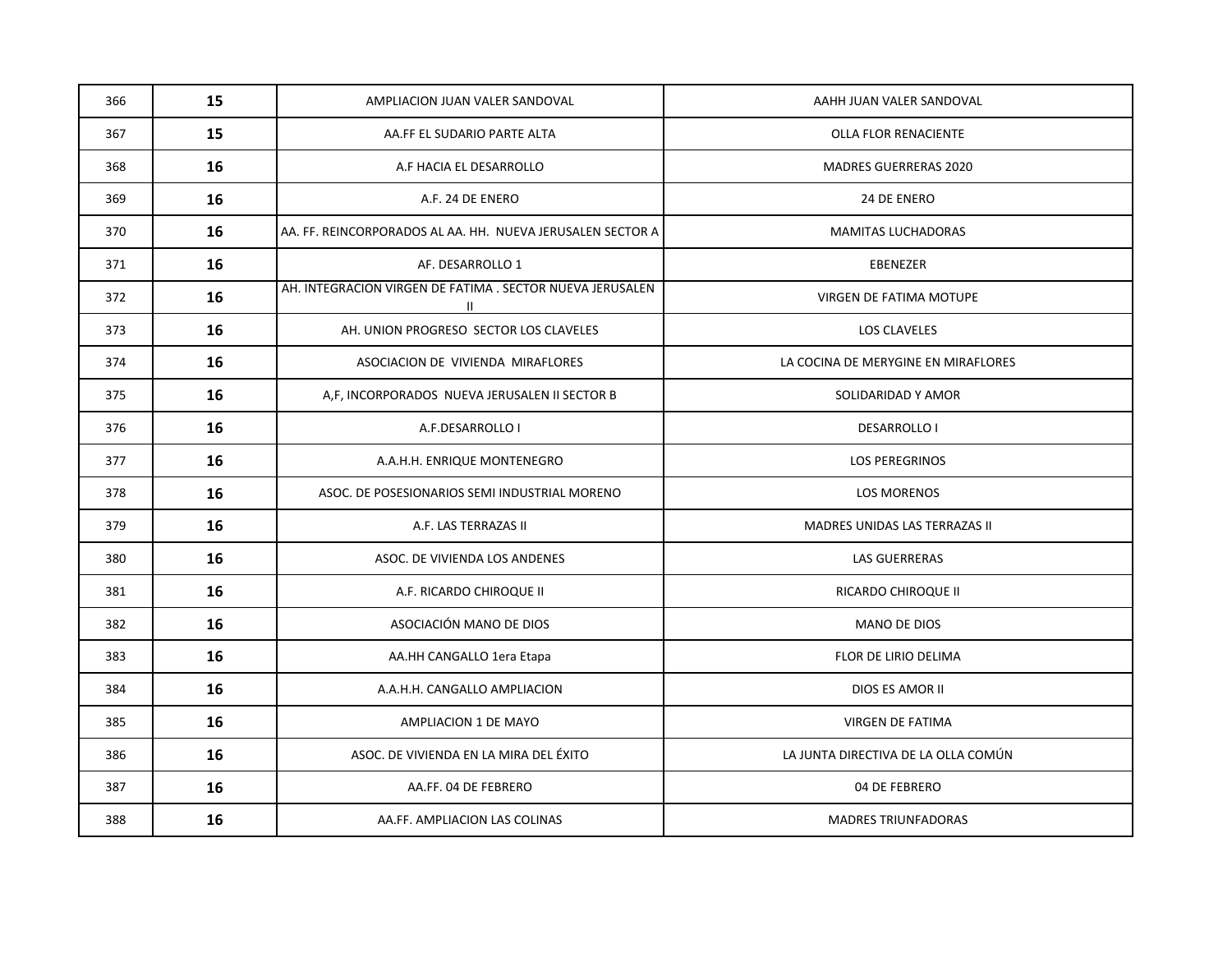| 366 | 15 | AMPLIACION JUAN VALER SANDOVAL                                  | AAHH JUAN VALER SANDOVAL            |
|-----|----|-----------------------------------------------------------------|-------------------------------------|
| 367 | 15 | AA.FF EL SUDARIO PARTE ALTA                                     | OLLA FLOR RENACIENTE                |
| 368 | 16 | A.F HACIA EL DESARROLLO                                         | <b>MADRES GUERRERAS 2020</b>        |
| 369 | 16 | A.F. 24 DE ENERO                                                | 24 DE ENERO                         |
| 370 | 16 | AA. FF. REINCORPORADOS AL AA. HH. NUEVA JERUSALEN SECTOR A      | MAMITAS LUCHADORAS                  |
| 371 | 16 | AF. DESARROLLO 1                                                | <b>EBENEZER</b>                     |
| 372 | 16 | AH. INTEGRACION VIRGEN DE FATIMA . SECTOR NUEVA JERUSALEN<br>Ш. | VIRGEN DE FATIMA MOTUPE             |
| 373 | 16 | AH. UNION PROGRESO SECTOR LOS CLAVELES                          | LOS CLAVELES                        |
| 374 | 16 | ASOCIACION DE VIVIENDA MIRAFLORES                               | LA COCINA DE MERYGINE EN MIRAFLORES |
| 375 | 16 | A,F, INCORPORADOS NUEVA JERUSALEN II SECTOR B                   | SOLIDARIDAD Y AMOR                  |
| 376 | 16 | A.F.DESARROLLO I                                                | <b>DESARROLLO I</b>                 |
| 377 | 16 | A.A.H.H. ENRIQUE MONTENEGRO                                     | <b>LOS PEREGRINOS</b>               |
| 378 | 16 | ASOC. DE POSESIONARIOS SEMI INDUSTRIAL MORENO                   | <b>LOS MORENOS</b>                  |
| 379 | 16 | A.F. LAS TERRAZAS II                                            | MADRES UNIDAS LAS TERRAZAS II       |
| 380 | 16 | ASOC. DE VIVIENDA LOS ANDENES                                   | <b>LAS GUERRERAS</b>                |
| 381 | 16 | A.F. RICARDO CHIROQUE II                                        | RICARDO CHIROQUE II                 |
| 382 | 16 | ASOCIACIÓN MANO DE DIOS                                         | MANO DE DIOS                        |
| 383 | 16 | AA.HH CANGALLO 1era Etapa                                       | FLOR DE LIRIO DELIMA                |
| 384 | 16 | A.A.H.H. CANGALLO AMPLIACION                                    | DIOS ES AMOR II                     |
| 385 | 16 | AMPLIACION 1 DE MAYO                                            | VIRGEN DE FATIMA                    |
| 386 | 16 | ASOC. DE VIVIENDA EN LA MIRA DEL ÉXITO                          | LA JUNTA DIRECTIVA DE LA OLLA COMÚN |
| 387 | 16 | AA.FF. 04 DE FEBRERO                                            | 04 DE FEBRERO                       |
| 388 | 16 | AA.FF. AMPLIACION LAS COLINAS                                   | <b>MADRES TRIUNFADORAS</b>          |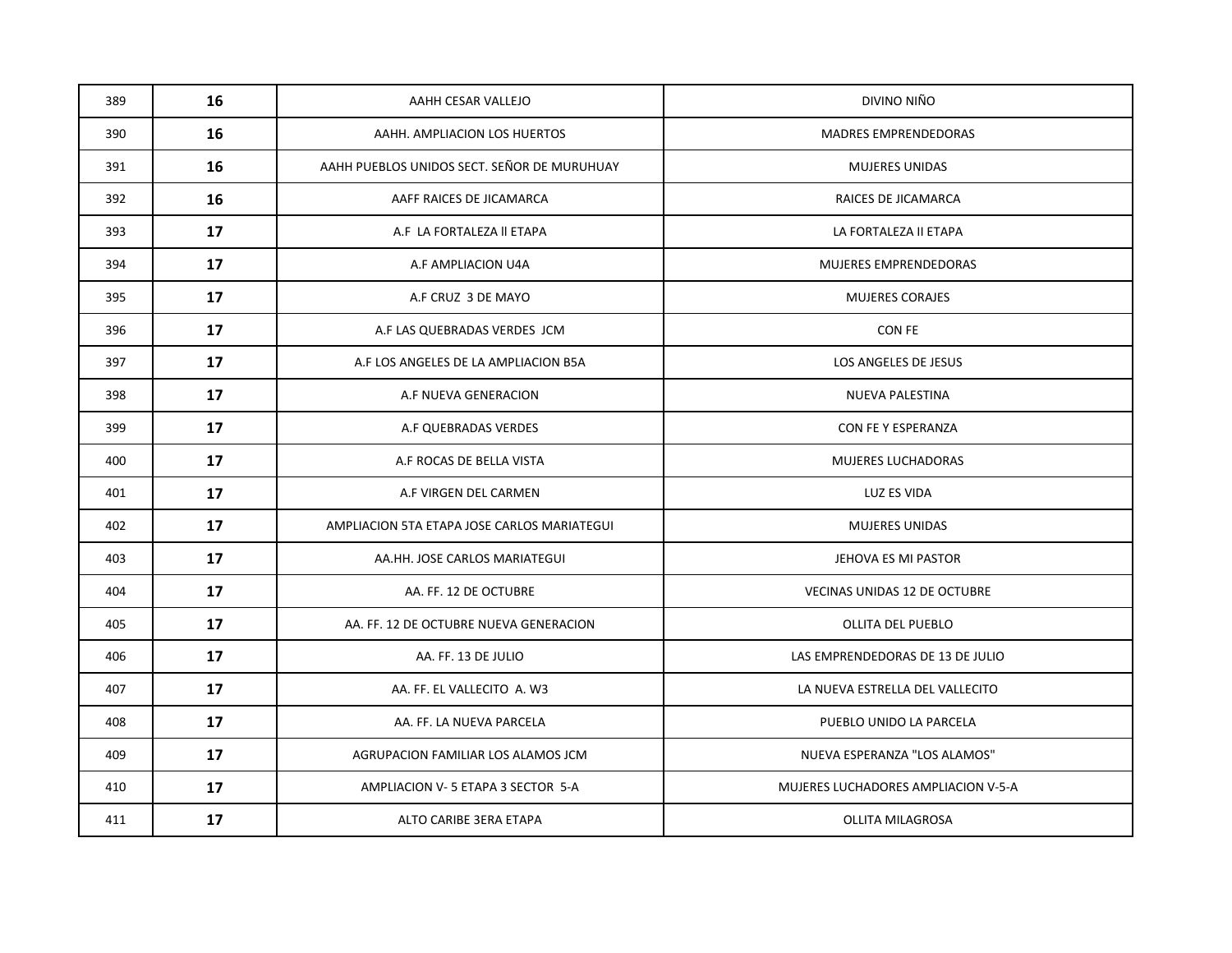| 389 | 16 | AAHH CESAR VALLEJO                          | DIVINO NIÑO                         |
|-----|----|---------------------------------------------|-------------------------------------|
| 390 | 16 | AAHH. AMPLIACION LOS HUERTOS                | <b>MADRES EMPRENDEDORAS</b>         |
| 391 | 16 | AAHH PUEBLOS UNIDOS SECT. SEÑOR DE MURUHUAY | <b>MUJERES UNIDAS</b>               |
| 392 | 16 | AAFF RAICES DE JICAMARCA                    | RAICES DE JICAMARCA                 |
| 393 | 17 | A.F LA FORTALEZA II ETAPA                   | LA FORTALEZA II ETAPA               |
| 394 | 17 | A.F AMPLIACION U4A                          | MUJERES EMPRENDEDORAS               |
| 395 | 17 | A.F CRUZ 3 DE MAYO                          | <b>MUJERES CORAJES</b>              |
| 396 | 17 | A.F LAS QUEBRADAS VERDES JCM                | CON FE                              |
| 397 | 17 | A.F LOS ANGELES DE LA AMPLIACION B5A        | LOS ANGELES DE JESUS                |
| 398 | 17 | A.F NUEVA GENERACION                        | <b>NUEVA PALESTINA</b>              |
| 399 | 17 | A.F QUEBRADAS VERDES                        | CON FE Y ESPERANZA                  |
| 400 | 17 | A.F ROCAS DE BELLA VISTA                    | MUJERES LUCHADORAS                  |
| 401 | 17 | A.F VIRGEN DEL CARMEN                       | <b>LUZ ES VIDA</b>                  |
| 402 | 17 | AMPLIACION 5TA ETAPA JOSE CARLOS MARIATEGUI | <b>MUJERES UNIDAS</b>               |
| 403 | 17 | AA.HH. JOSE CARLOS MARIATEGUI               | JEHOVA ES MI PASTOR                 |
| 404 | 17 | AA. FF. 12 DE OCTUBRE                       | <b>VECINAS UNIDAS 12 DE OCTUBRE</b> |
| 405 | 17 | AA. FF. 12 DE OCTUBRE NUEVA GENERACION      | <b>OLLITA DEL PUEBLO</b>            |
| 406 | 17 | AA. FF. 13 DE JULIO                         | LAS EMPRENDEDORAS DE 13 DE JULIO    |
| 407 | 17 | AA. FF. EL VALLECITO A. W3                  | LA NUEVA ESTRELLA DEL VALLECITO     |
| 408 | 17 | AA. FF. LA NUEVA PARCELA                    | PUEBLO UNIDO LA PARCELA             |
| 409 | 17 | AGRUPACION FAMILIAR LOS ALAMOS JCM          | NUEVA ESPERANZA "LOS ALAMOS"        |
| 410 | 17 | AMPLIACION V-5 ETAPA 3 SECTOR 5-A           | MUJERES LUCHADORES AMPLIACION V-5-A |
| 411 | 17 | ALTO CARIBE 3ERA ETAPA                      | <b>OLLITA MILAGROSA</b>             |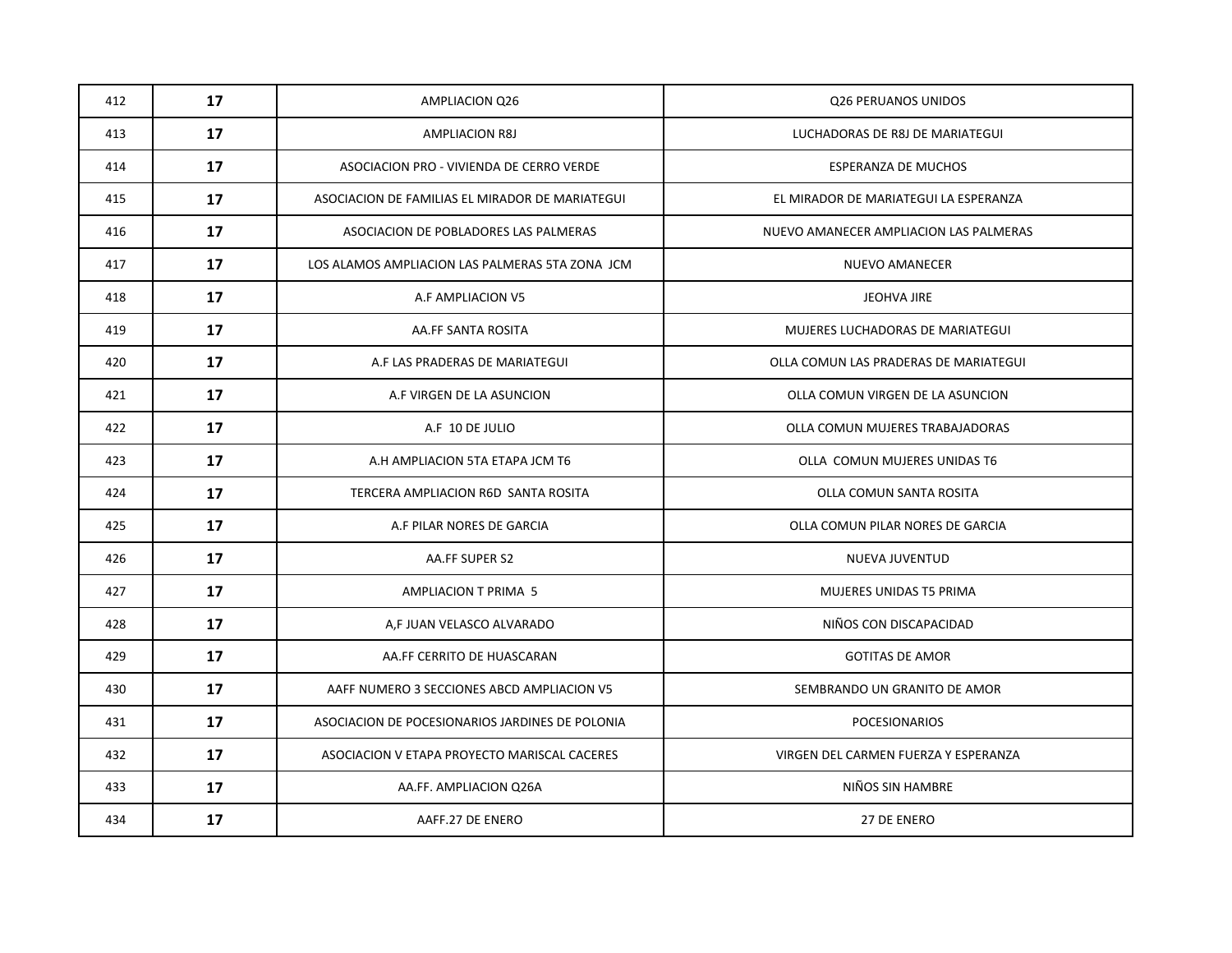| 412 | 17 | <b>AMPLIACION Q26</b>                           | Q26 PERUANOS UNIDOS                    |
|-----|----|-------------------------------------------------|----------------------------------------|
| 413 | 17 | <b>AMPLIACION R8J</b>                           | LUCHADORAS DE R8J DE MARIATEGUI        |
| 414 | 17 | ASOCIACION PRO - VIVIENDA DE CERRO VERDE        | <b>ESPERANZA DE MUCHOS</b>             |
| 415 | 17 | ASOCIACION DE FAMILIAS EL MIRADOR DE MARIATEGUI | EL MIRADOR DE MARIATEGUI LA ESPERANZA  |
| 416 | 17 | ASOCIACION DE POBLADORES LAS PALMERAS           | NUEVO AMANECER AMPLIACION LAS PALMERAS |
| 417 | 17 | LOS ALAMOS AMPLIACION LAS PALMERAS 5TA ZONA JCM | <b>NUEVO AMANECER</b>                  |
| 418 | 17 | A.F AMPLIACION V5                               | JEOHVA JIRE                            |
| 419 | 17 | AA.FF SANTA ROSITA                              | MUJERES LUCHADORAS DE MARIATEGUI       |
| 420 | 17 | A.F LAS PRADERAS DE MARIATEGUI                  | OLLA COMUN LAS PRADERAS DE MARIATEGUI  |
| 421 | 17 | A.F VIRGEN DE LA ASUNCION                       | OLLA COMUN VIRGEN DE LA ASUNCION       |
| 422 | 17 | A.F 10 DE JULIO                                 | OLLA COMUN MUJERES TRABAJADORAS        |
| 423 | 17 | A.H AMPLIACION 5TA ETAPA JCM T6                 | OLLA COMUN MUJERES UNIDAS T6           |
| 424 | 17 | TERCERA AMPLIACION R6D SANTA ROSITA             | OLLA COMUN SANTA ROSITA                |
| 425 | 17 | A.F PILAR NORES DE GARCIA                       | OLLA COMUN PILAR NORES DE GARCIA       |
| 426 | 17 | AA.FF SUPER S2                                  | NUEVA JUVENTUD                         |
| 427 | 17 | AMPLIACION T PRIMA 5                            | MUJERES UNIDAS T5 PRIMA                |
| 428 | 17 | A,F JUAN VELASCO ALVARADO                       | NIÑOS CON DISCAPACIDAD                 |
| 429 | 17 | AA.FF CERRITO DE HUASCARAN                      | <b>GOTITAS DE AMOR</b>                 |
| 430 | 17 | AAFF NUMERO 3 SECCIONES ABCD AMPLIACION V5      | SEMBRANDO UN GRANITO DE AMOR           |
| 431 | 17 | ASOCIACION DE POCESIONARIOS JARDINES DE POLONIA | <b>POCESIONARIOS</b>                   |
| 432 | 17 | ASOCIACION V ETAPA PROYECTO MARISCAL CACERES    | VIRGEN DEL CARMEN FUERZA Y ESPERANZA   |
| 433 | 17 | AA.FF. AMPLIACION Q26A                          | NIÑOS SIN HAMBRE                       |
| 434 | 17 | AAFF.27 DE ENERO                                | 27 DE ENERO                            |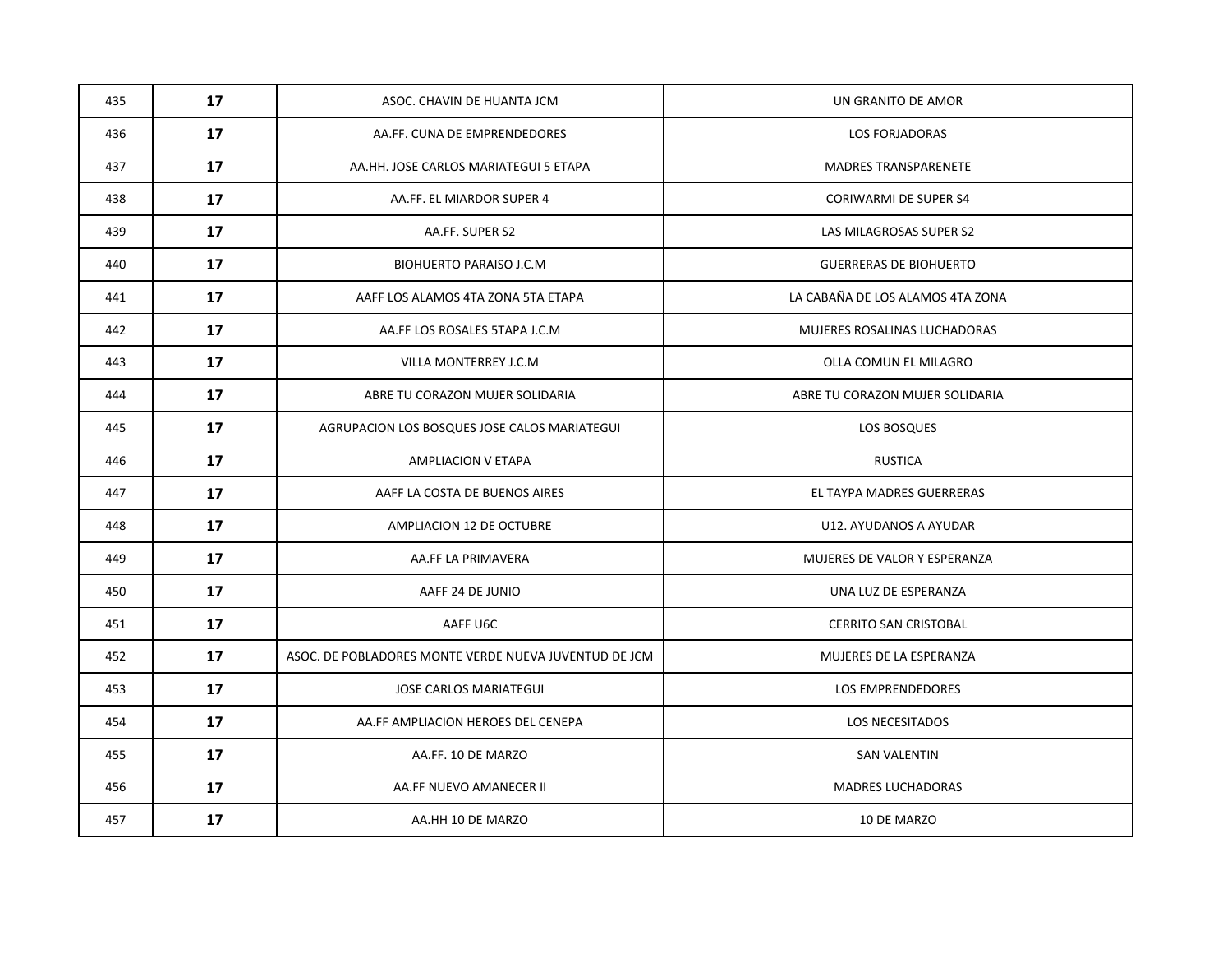| 435 | 17 | ASOC. CHAVIN DE HUANTA JCM                            | UN GRANITO DE AMOR               |
|-----|----|-------------------------------------------------------|----------------------------------|
| 436 | 17 | AA.FF. CUNA DE EMPRENDEDORES                          | <b>LOS FORJADORAS</b>            |
| 437 | 17 | AA.HH. JOSE CARLOS MARIATEGUI 5 ETAPA                 | <b>MADRES TRANSPARENETE</b>      |
| 438 | 17 | AA.FF. EL MIARDOR SUPER 4                             | <b>CORIWARMI DE SUPER S4</b>     |
| 439 | 17 | AA.FF. SUPER S2                                       | LAS MILAGROSAS SUPER S2          |
| 440 | 17 | <b>BIOHUERTO PARAISO J.C.M</b>                        | <b>GUERRERAS DE BIOHUERTO</b>    |
| 441 | 17 | AAFF LOS ALAMOS 4TA ZONA 5TA ETAPA                    | LA CABAÑA DE LOS ALAMOS 4TA ZONA |
| 442 | 17 | AA.FF LOS ROSALES 5TAPA J.C.M                         | MUJERES ROSALINAS LUCHADORAS     |
| 443 | 17 | VILLA MONTERREY J.C.M                                 | OLLA COMUN EL MILAGRO            |
| 444 | 17 | ABRE TU CORAZON MUJER SOLIDARIA                       | ABRE TU CORAZON MUJER SOLIDARIA  |
| 445 | 17 | AGRUPACION LOS BOSQUES JOSE CALOS MARIATEGUI          | LOS BOSQUES                      |
| 446 | 17 | <b>AMPLIACION V ETAPA</b>                             | <b>RUSTICA</b>                   |
| 447 | 17 | AAFF LA COSTA DE BUENOS AIRES                         | EL TAYPA MADRES GUERRERAS        |
| 448 | 17 | AMPLIACION 12 DE OCTUBRE                              | U12. AYUDANOS A AYUDAR           |
| 449 | 17 | AA.FF LA PRIMAVERA                                    | MUJERES DE VALOR Y ESPERANZA     |
| 450 | 17 | AAFF 24 DE JUNIO                                      | UNA LUZ DE ESPERANZA             |
| 451 | 17 | AAFF U6C                                              | <b>CERRITO SAN CRISTOBAL</b>     |
| 452 | 17 | ASOC. DE POBLADORES MONTE VERDE NUEVA JUVENTUD DE JCM | MUJERES DE LA ESPERANZA          |
| 453 | 17 | JOSE CARLOS MARIATEGUI                                | LOS EMPRENDEDORES                |
| 454 | 17 | AA.FF AMPLIACION HEROES DEL CENEPA                    | <b>LOS NECESITADOS</b>           |
| 455 | 17 | AA.FF. 10 DE MARZO                                    | <b>SAN VALENTIN</b>              |
| 456 | 17 | AA.FF NUEVO AMANECER II                               | <b>MADRES LUCHADORAS</b>         |
| 457 | 17 | AA.HH 10 DE MARZO                                     | 10 DE MARZO                      |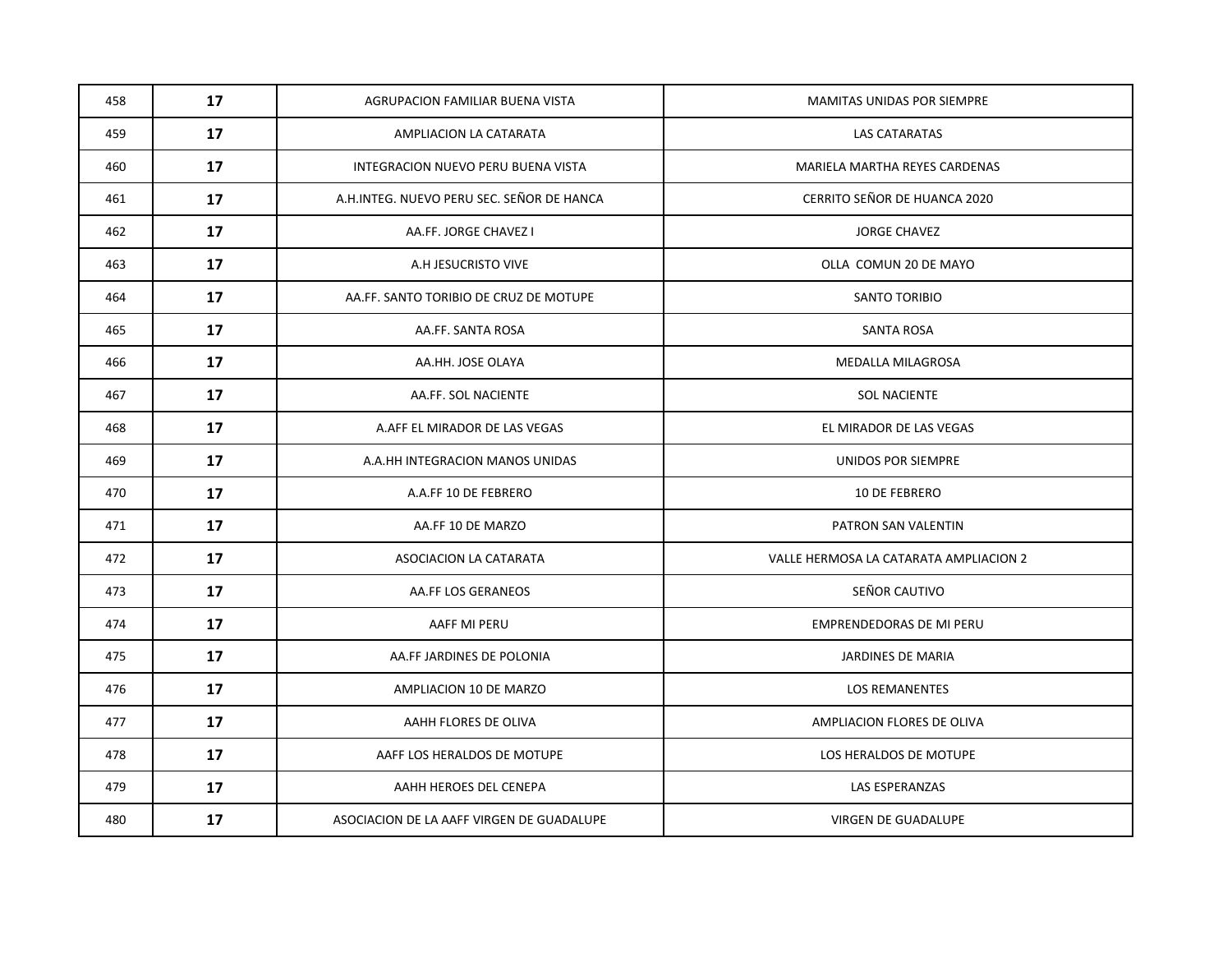| 458 | 17 | AGRUPACION FAMILIAR BUENA VISTA           | <b>MAMITAS UNIDAS POR SIEMPRE</b>      |
|-----|----|-------------------------------------------|----------------------------------------|
| 459 | 17 | AMPLIACION LA CATARATA                    | LAS CATARATAS                          |
| 460 | 17 | INTEGRACION NUEVO PERU BUENA VISTA        | MARIELA MARTHA REYES CARDENAS          |
| 461 | 17 | A.H.INTEG. NUEVO PERU SEC. SEÑOR DE HANCA | CERRITO SEÑOR DE HUANCA 2020           |
| 462 | 17 | AA.FF. JORGE CHAVEZ I                     | <b>JORGE CHAVEZ</b>                    |
| 463 | 17 | A.H JESUCRISTO VIVE                       | OLLA COMUN 20 DE MAYO                  |
| 464 | 17 | AA.FF. SANTO TORIBIO DE CRUZ DE MOTUPE    | SANTO TORIBIO                          |
| 465 | 17 | AA.FF. SANTA ROSA                         | <b>SANTA ROSA</b>                      |
| 466 | 17 | AA.HH. JOSE OLAYA                         | MEDALLA MILAGROSA                      |
| 467 | 17 | AA.FF. SOL NACIENTE                       | <b>SOL NACIENTE</b>                    |
| 468 | 17 | A.AFF EL MIRADOR DE LAS VEGAS             | EL MIRADOR DE LAS VEGAS                |
| 469 | 17 | A.A.HH INTEGRACION MANOS UNIDAS           | UNIDOS POR SIEMPRE                     |
| 470 | 17 | A.A.FF 10 DE FEBRERO                      | 10 DE FEBRERO                          |
| 471 | 17 | AA.FF 10 DE MARZO                         | PATRON SAN VALENTIN                    |
| 472 | 17 | ASOCIACION LA CATARATA                    | VALLE HERMOSA LA CATARATA AMPLIACION 2 |
| 473 | 17 | AA.FF LOS GERANEOS                        | SEÑOR CAUTIVO                          |
| 474 | 17 | AAFF MI PERU                              | EMPRENDEDORAS DE MI PERU               |
| 475 | 17 | AA.FF JARDINES DE POLONIA                 | JARDINES DE MARIA                      |
| 476 | 17 | AMPLIACION 10 DE MARZO                    | <b>LOS REMANENTES</b>                  |
| 477 | 17 | AAHH FLORES DE OLIVA                      | AMPLIACION FLORES DE OLIVA             |
| 478 | 17 | AAFF LOS HERALDOS DE MOTUPE               | LOS HERALDOS DE MOTUPE                 |
| 479 | 17 | AAHH HEROES DEL CENEPA                    | <b>LAS ESPERANZAS</b>                  |
| 480 | 17 | ASOCIACION DE LA AAFF VIRGEN DE GUADALUPE | VIRGEN DE GUADALUPE                    |